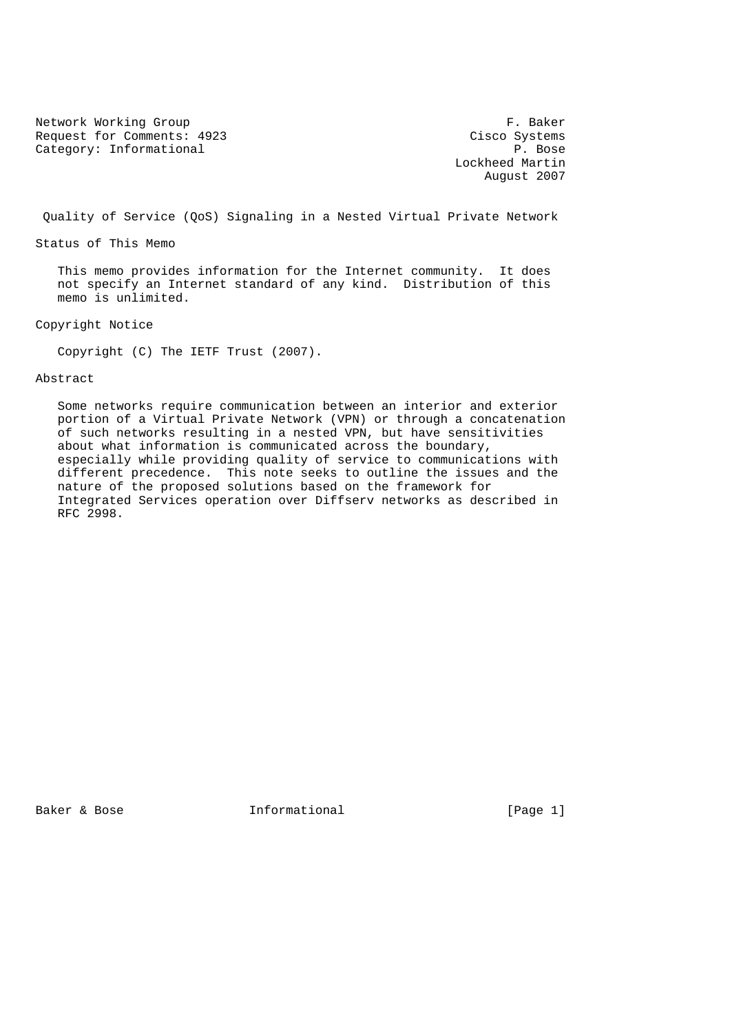Network Working Group and the set of the set of the set of the set of the set of the set of the set of the set of the set of the set of the set of the set of the set of the set of the set of the set of the set of the set o Request for Comments: 4923 Cisco Systems<br>
Category: Informational P. Bose Category: Informational

 Lockheed Martin August 2007

Quality of Service (QoS) Signaling in a Nested Virtual Private Network

Status of This Memo

 This memo provides information for the Internet community. It does not specify an Internet standard of any kind. Distribution of this memo is unlimited.

Copyright Notice

Copyright (C) The IETF Trust (2007).

Abstract

 Some networks require communication between an interior and exterior portion of a Virtual Private Network (VPN) or through a concatenation of such networks resulting in a nested VPN, but have sensitivities about what information is communicated across the boundary, especially while providing quality of service to communications with different precedence. This note seeks to outline the issues and the nature of the proposed solutions based on the framework for Integrated Services operation over Diffserv networks as described in RFC 2998.

Baker & Bose **Informational** [Page 1]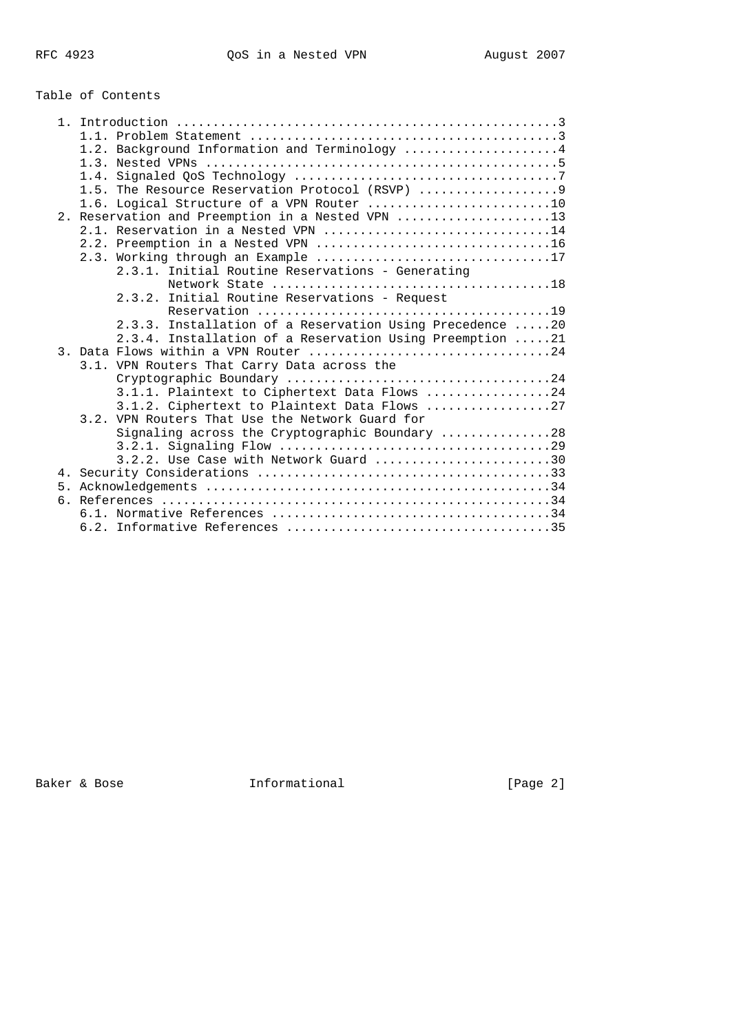# Table of Contents

| 1.2. Background Information and Terminology 4            |
|----------------------------------------------------------|
|                                                          |
|                                                          |
| 1.5. The Resource Reservation Protocol (RSVP)            |
| 1.6. Logical Structure of a VPN Router 10                |
| 2. Reservation and Preemption in a Nested VPN 13         |
| 2.1. Reservation in a Nested VPN 14                      |
|                                                          |
|                                                          |
| 2.3.1. Initial Routine Reservations - Generating         |
|                                                          |
| 2.3.2. Initial Routine Reservations - Request            |
|                                                          |
| 2.3.3. Installation of a Reservation Using Precedence 20 |
| 2.3.4. Installation of a Reservation Using Preemption 21 |
| 3. Data Flows within a VPN Router 24                     |
| 3.1. VPN Routers That Carry Data across the              |
|                                                          |
| 3.1.1. Plaintext to Ciphertext Data Flows 24             |
| 3.1.2. Ciphertext to Plaintext Data Flows 27             |
| 3.2. VPN Routers That Use the Network Guard for          |
| Signaling across the Cryptographic Boundary 28           |
|                                                          |
| $3.2.2.$ Use Case with Network Guard 30                  |
|                                                          |
|                                                          |
|                                                          |
|                                                          |
|                                                          |

Baker & Bose **Informational Example 2** and Baker & Bose 2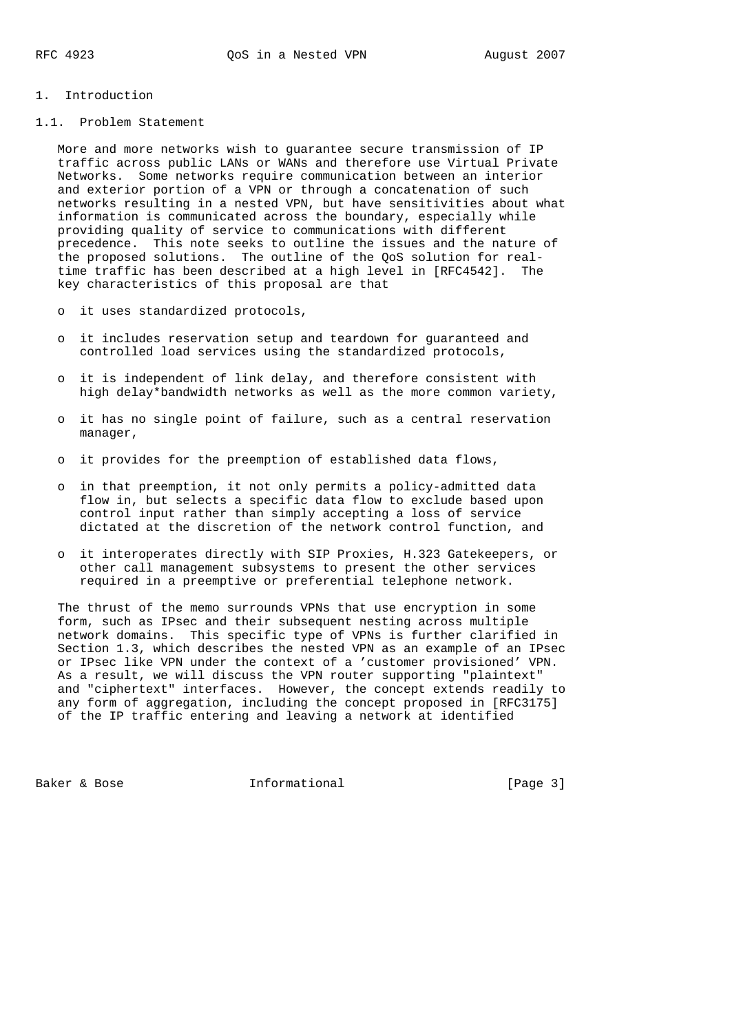- 1. Introduction
- 1.1. Problem Statement

 More and more networks wish to guarantee secure transmission of IP traffic across public LANs or WANs and therefore use Virtual Private Networks. Some networks require communication between an interior and exterior portion of a VPN or through a concatenation of such networks resulting in a nested VPN, but have sensitivities about what information is communicated across the boundary, especially while providing quality of service to communications with different precedence. This note seeks to outline the issues and the nature of the proposed solutions. The outline of the QoS solution for real time traffic has been described at a high level in [RFC4542]. The key characteristics of this proposal are that

- o it uses standardized protocols,
- o it includes reservation setup and teardown for guaranteed and controlled load services using the standardized protocols,
- o it is independent of link delay, and therefore consistent with high delay\*bandwidth networks as well as the more common variety,
- o it has no single point of failure, such as a central reservation manager,
- o it provides for the preemption of established data flows,
- o in that preemption, it not only permits a policy-admitted data flow in, but selects a specific data flow to exclude based upon control input rather than simply accepting a loss of service dictated at the discretion of the network control function, and
- o it interoperates directly with SIP Proxies, H.323 Gatekeepers, or other call management subsystems to present the other services required in a preemptive or preferential telephone network.

 The thrust of the memo surrounds VPNs that use encryption in some form, such as IPsec and their subsequent nesting across multiple network domains. This specific type of VPNs is further clarified in Section 1.3, which describes the nested VPN as an example of an IPsec or IPsec like VPN under the context of a 'customer provisioned' VPN. As a result, we will discuss the VPN router supporting "plaintext" and "ciphertext" interfaces. However, the concept extends readily to any form of aggregation, including the concept proposed in [RFC3175] of the IP traffic entering and leaving a network at identified

Baker & Bose **Informational** [Page 3]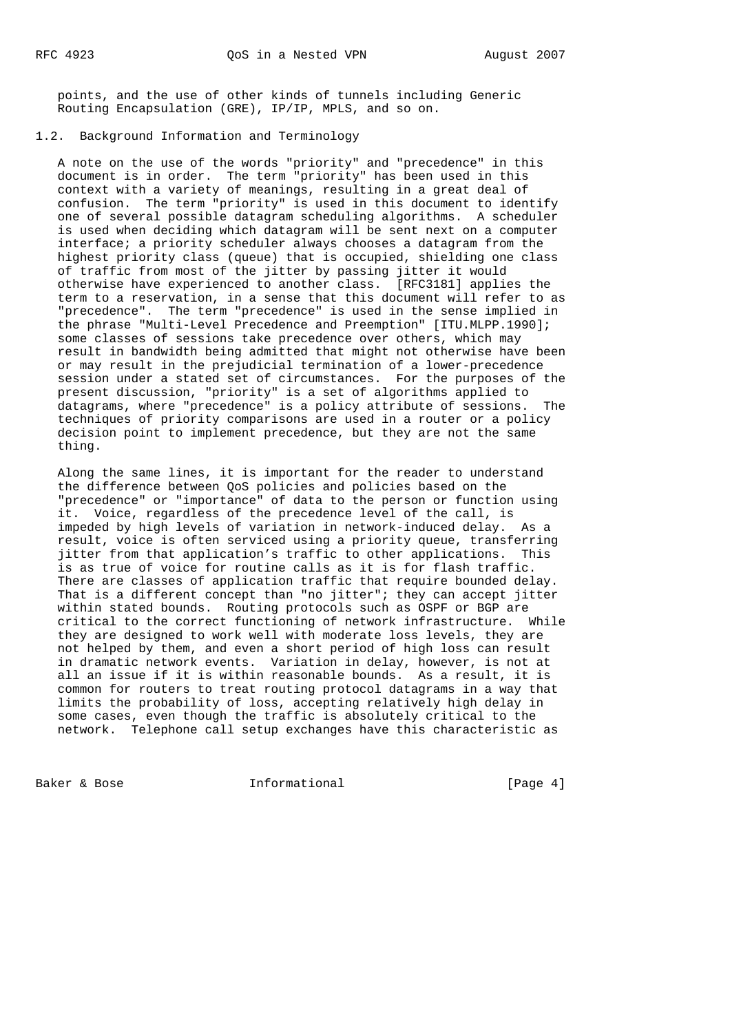points, and the use of other kinds of tunnels including Generic Routing Encapsulation (GRE), IP/IP, MPLS, and so on.

1.2. Background Information and Terminology

 A note on the use of the words "priority" and "precedence" in this document is in order. The term "priority" has been used in this context with a variety of meanings, resulting in a great deal of confusion. The term "priority" is used in this document to identify one of several possible datagram scheduling algorithms. A scheduler is used when deciding which datagram will be sent next on a computer interface; a priority scheduler always chooses a datagram from the highest priority class (queue) that is occupied, shielding one class of traffic from most of the jitter by passing jitter it would otherwise have experienced to another class. [RFC3181] applies the term to a reservation, in a sense that this document will refer to as "precedence". The term "precedence" is used in the sense implied in the phrase "Multi-Level Precedence and Preemption" [ITU.MLPP.1990]; some classes of sessions take precedence over others, which may result in bandwidth being admitted that might not otherwise have been or may result in the prejudicial termination of a lower-precedence session under a stated set of circumstances. For the purposes of the present discussion, "priority" is a set of algorithms applied to datagrams, where "precedence" is a policy attribute of sessions. The techniques of priority comparisons are used in a router or a policy decision point to implement precedence, but they are not the same thing.

 Along the same lines, it is important for the reader to understand the difference between QoS policies and policies based on the "precedence" or "importance" of data to the person or function using it. Voice, regardless of the precedence level of the call, is impeded by high levels of variation in network-induced delay. As a result, voice is often serviced using a priority queue, transferring jitter from that application's traffic to other applications. This is as true of voice for routine calls as it is for flash traffic. There are classes of application traffic that require bounded delay. That is a different concept than "no jitter"; they can accept jitter within stated bounds. Routing protocols such as OSPF or BGP are critical to the correct functioning of network infrastructure. While they are designed to work well with moderate loss levels, they are not helped by them, and even a short period of high loss can result in dramatic network events. Variation in delay, however, is not at all an issue if it is within reasonable bounds. As a result, it is common for routers to treat routing protocol datagrams in a way that limits the probability of loss, accepting relatively high delay in some cases, even though the traffic is absolutely critical to the network. Telephone call setup exchanges have this characteristic as

Baker & Bose Theorem Informational Theorem (Page 4)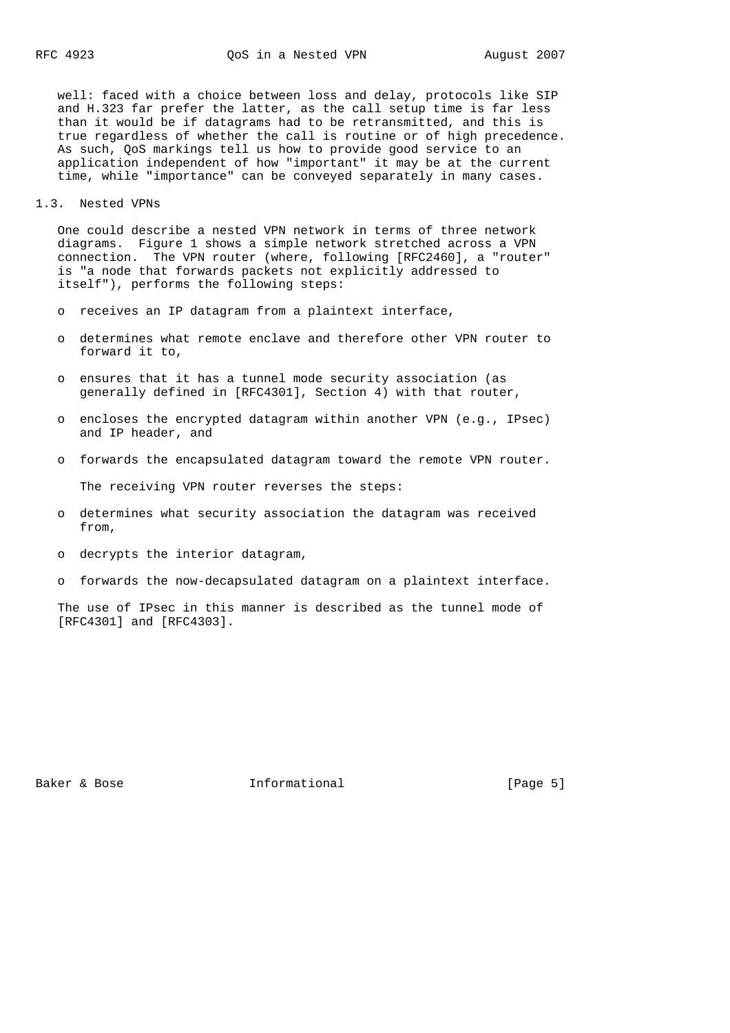well: faced with a choice between loss and delay, protocols like SIP and H.323 far prefer the latter, as the call setup time is far less than it would be if datagrams had to be retransmitted, and this is true regardless of whether the call is routine or of high precedence. As such, QoS markings tell us how to provide good service to an application independent of how "important" it may be at the current time, while "importance" can be conveyed separately in many cases.

1.3. Nested VPNs

 One could describe a nested VPN network in terms of three network diagrams. Figure 1 shows a simple network stretched across a VPN connection. The VPN router (where, following [RFC2460], a "router" is "a node that forwards packets not explicitly addressed to itself"), performs the following steps:

- o receives an IP datagram from a plaintext interface,
- o determines what remote enclave and therefore other VPN router to forward it to,
- o ensures that it has a tunnel mode security association (as generally defined in [RFC4301], Section 4) with that router,
- o encloses the encrypted datagram within another VPN (e.g., IPsec) and IP header, and
- o forwards the encapsulated datagram toward the remote VPN router.

The receiving VPN router reverses the steps:

- o determines what security association the datagram was received from,
- o decrypts the interior datagram,
- o forwards the now-decapsulated datagram on a plaintext interface.

 The use of IPsec in this manner is described as the tunnel mode of [RFC4301] and [RFC4303].

Baker & Bose The Informational The Informational [Page 5]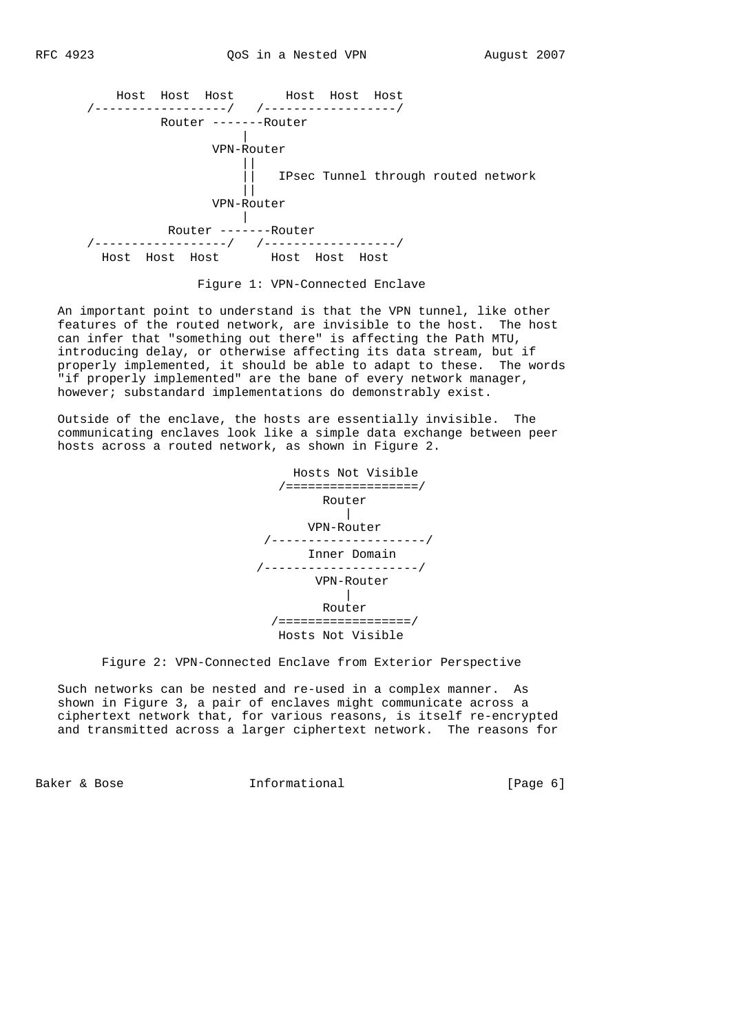

Figure 1: VPN-Connected Enclave

 An important point to understand is that the VPN tunnel, like other features of the routed network, are invisible to the host. The host can infer that "something out there" is affecting the Path MTU, introducing delay, or otherwise affecting its data stream, but if properly implemented, it should be able to adapt to these. The words "if properly implemented" are the bane of every network manager, however; substandard implementations do demonstrably exist.

 Outside of the enclave, the hosts are essentially invisible. The communicating enclaves look like a simple data exchange between peer hosts across a routed network, as shown in Figure 2.

 Hosts Not Visible /==================/ Router | VPN-Router /---------------------/ Inner Domain /---------------------/ VPN-Router | Router /==================/ Hosts Not Visible

## Figure 2: VPN-Connected Enclave from Exterior Perspective

 Such networks can be nested and re-used in a complex manner. As shown in Figure 3, a pair of enclaves might communicate across a ciphertext network that, for various reasons, is itself re-encrypted and transmitted across a larger ciphertext network. The reasons for

Baker & Bose Theorem Informational Theorem (Page 6)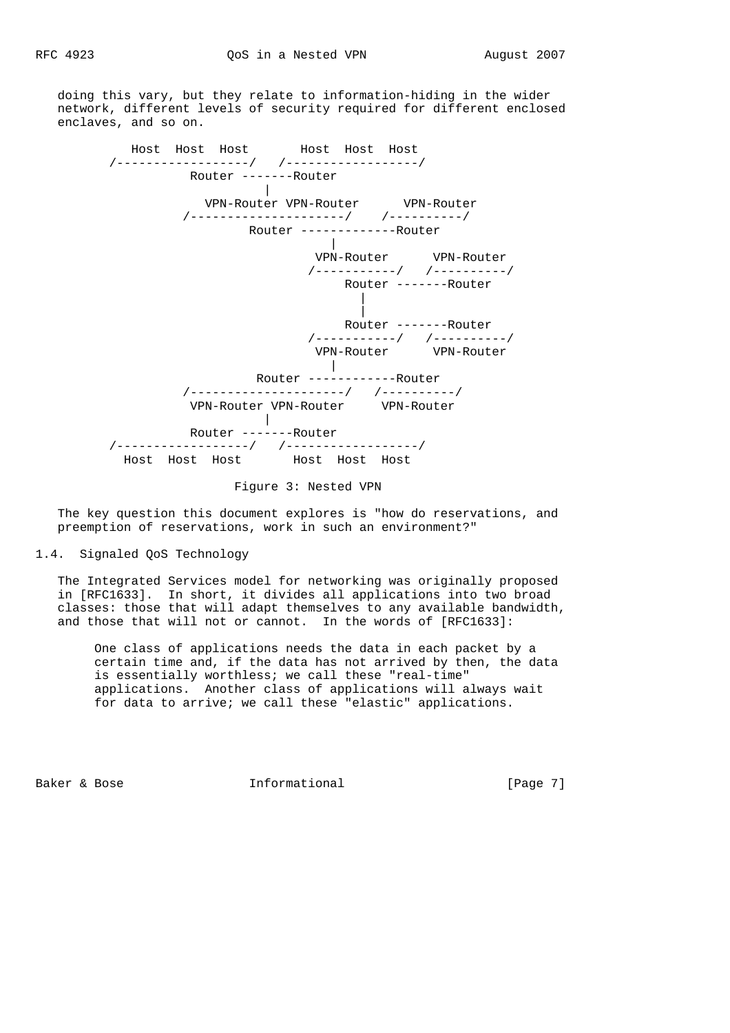doing this vary, but they relate to information-hiding in the wider network, different levels of security required for different enclosed enclaves, and so on.



Figure 3: Nested VPN

 The key question this document explores is "how do reservations, and preemption of reservations, work in such an environment?"

1.4. Signaled QoS Technology

 The Integrated Services model for networking was originally proposed in [RFC1633]. In short, it divides all applications into two broad classes: those that will adapt themselves to any available bandwidth, and those that will not or cannot. In the words of [RFC1633]:

 One class of applications needs the data in each packet by a certain time and, if the data has not arrived by then, the data is essentially worthless; we call these "real-time" applications. Another class of applications will always wait for data to arrive; we call these "elastic" applications.

Baker & Bose The Informational The Informational [Page 7]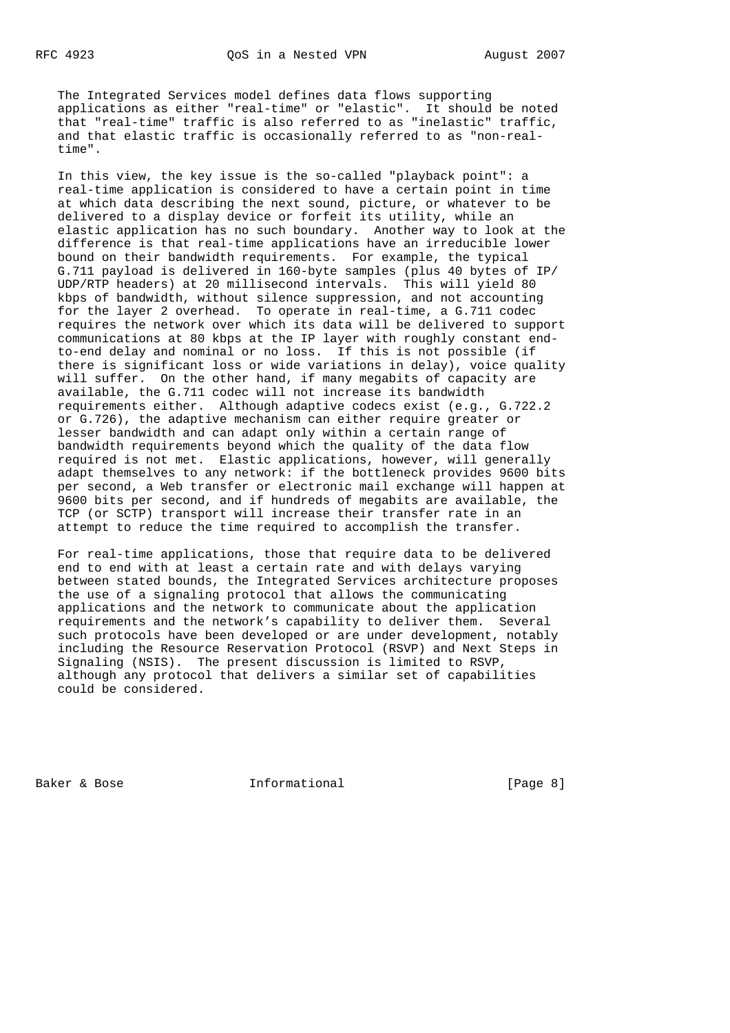The Integrated Services model defines data flows supporting applications as either "real-time" or "elastic". It should be noted that "real-time" traffic is also referred to as "inelastic" traffic, and that elastic traffic is occasionally referred to as "non-real time".

 In this view, the key issue is the so-called "playback point": a real-time application is considered to have a certain point in time at which data describing the next sound, picture, or whatever to be delivered to a display device or forfeit its utility, while an elastic application has no such boundary. Another way to look at the difference is that real-time applications have an irreducible lower bound on their bandwidth requirements. For example, the typical G.711 payload is delivered in 160-byte samples (plus 40 bytes of IP/ UDP/RTP headers) at 20 millisecond intervals. This will yield 80 kbps of bandwidth, without silence suppression, and not accounting for the layer 2 overhead. To operate in real-time, a G.711 codec requires the network over which its data will be delivered to support communications at 80 kbps at the IP layer with roughly constant end to-end delay and nominal or no loss. If this is not possible (if there is significant loss or wide variations in delay), voice quality will suffer. On the other hand, if many megabits of capacity are available, the G.711 codec will not increase its bandwidth requirements either. Although adaptive codecs exist (e.g., G.722.2 or G.726), the adaptive mechanism can either require greater or lesser bandwidth and can adapt only within a certain range of bandwidth requirements beyond which the quality of the data flow required is not met. Elastic applications, however, will generally adapt themselves to any network: if the bottleneck provides 9600 bits per second, a Web transfer or electronic mail exchange will happen at 9600 bits per second, and if hundreds of megabits are available, the TCP (or SCTP) transport will increase their transfer rate in an attempt to reduce the time required to accomplish the transfer.

 For real-time applications, those that require data to be delivered end to end with at least a certain rate and with delays varying between stated bounds, the Integrated Services architecture proposes the use of a signaling protocol that allows the communicating applications and the network to communicate about the application requirements and the network's capability to deliver them. Several such protocols have been developed or are under development, notably including the Resource Reservation Protocol (RSVP) and Next Steps in Signaling (NSIS). The present discussion is limited to RSVP, although any protocol that delivers a similar set of capabilities could be considered.

Baker & Bose Theorem Informational Theorem (Page 8)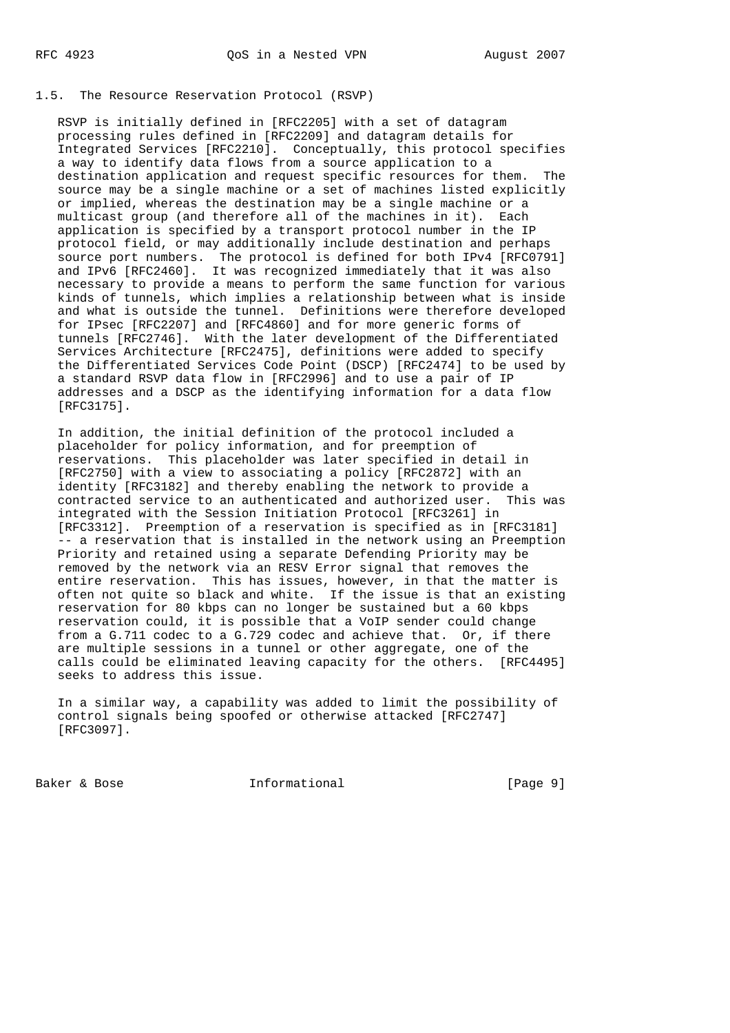## 1.5. The Resource Reservation Protocol (RSVP)

 RSVP is initially defined in [RFC2205] with a set of datagram processing rules defined in [RFC2209] and datagram details for Integrated Services [RFC2210]. Conceptually, this protocol specifies a way to identify data flows from a source application to a destination application and request specific resources for them. The source may be a single machine or a set of machines listed explicitly or implied, whereas the destination may be a single machine or a multicast group (and therefore all of the machines in it). Each application is specified by a transport protocol number in the IP protocol field, or may additionally include destination and perhaps source port numbers. The protocol is defined for both IPv4 [RFC0791] and IPv6 [RFC2460]. It was recognized immediately that it was also necessary to provide a means to perform the same function for various kinds of tunnels, which implies a relationship between what is inside and what is outside the tunnel. Definitions were therefore developed for IPsec [RFC2207] and [RFC4860] and for more generic forms of tunnels [RFC2746]. With the later development of the Differentiated Services Architecture [RFC2475], definitions were added to specify the Differentiated Services Code Point (DSCP) [RFC2474] to be used by a standard RSVP data flow in [RFC2996] and to use a pair of IP addresses and a DSCP as the identifying information for a data flow [RFC3175].

 In addition, the initial definition of the protocol included a placeholder for policy information, and for preemption of reservations. This placeholder was later specified in detail in [RFC2750] with a view to associating a policy [RFC2872] with an identity [RFC3182] and thereby enabling the network to provide a contracted service to an authenticated and authorized user. This was integrated with the Session Initiation Protocol [RFC3261] in [RFC3312]. Preemption of a reservation is specified as in [RFC3181] -- a reservation that is installed in the network using an Preemption Priority and retained using a separate Defending Priority may be removed by the network via an RESV Error signal that removes the entire reservation. This has issues, however, in that the matter is often not quite so black and white. If the issue is that an existing reservation for 80 kbps can no longer be sustained but a 60 kbps reservation could, it is possible that a VoIP sender could change from a G.711 codec to a G.729 codec and achieve that. Or, if there are multiple sessions in a tunnel or other aggregate, one of the calls could be eliminated leaving capacity for the others. [RFC4495] seeks to address this issue.

 In a similar way, a capability was added to limit the possibility of control signals being spoofed or otherwise attacked [RFC2747] [RFC3097].

Baker & Bose **Informational** [Page 9]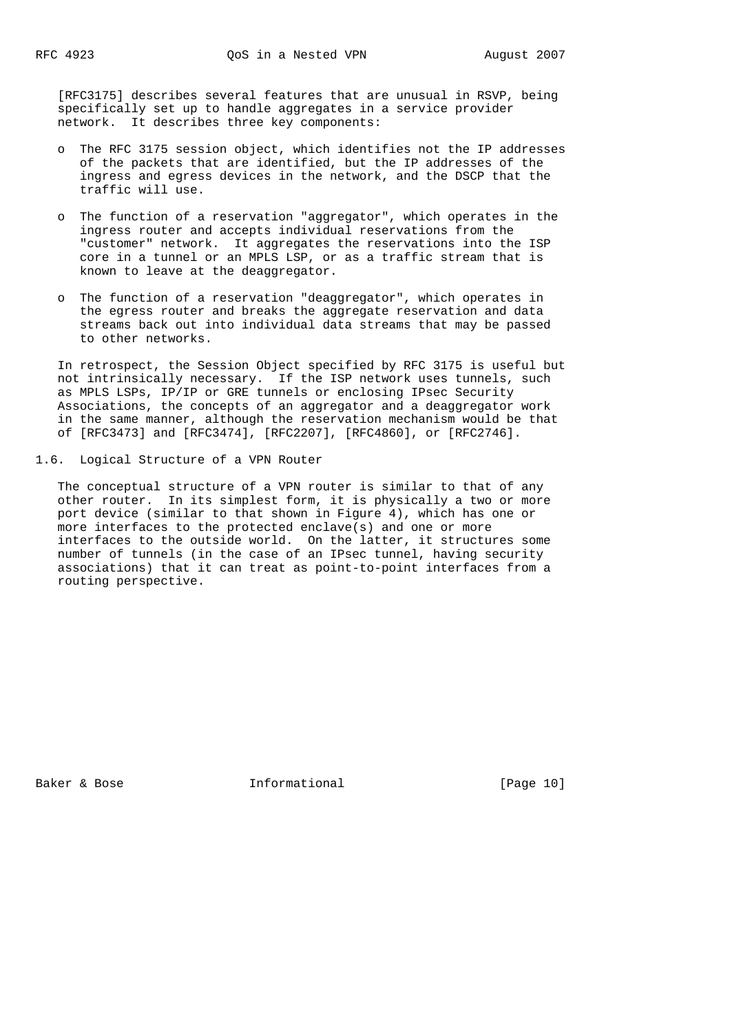[RFC3175] describes several features that are unusual in RSVP, being specifically set up to handle aggregates in a service provider network. It describes three key components:

- o The RFC 3175 session object, which identifies not the IP addresses of the packets that are identified, but the IP addresses of the ingress and egress devices in the network, and the DSCP that the traffic will use.
- o The function of a reservation "aggregator", which operates in the ingress router and accepts individual reservations from the "customer" network. It aggregates the reservations into the ISP core in a tunnel or an MPLS LSP, or as a traffic stream that is known to leave at the deaggregator.
- o The function of a reservation "deaggregator", which operates in the egress router and breaks the aggregate reservation and data streams back out into individual data streams that may be passed to other networks.

 In retrospect, the Session Object specified by RFC 3175 is useful but not intrinsically necessary. If the ISP network uses tunnels, such as MPLS LSPs, IP/IP or GRE tunnels or enclosing IPsec Security Associations, the concepts of an aggregator and a deaggregator work in the same manner, although the reservation mechanism would be that of [RFC3473] and [RFC3474], [RFC2207], [RFC4860], or [RFC2746].

1.6. Logical Structure of a VPN Router

 The conceptual structure of a VPN router is similar to that of any other router. In its simplest form, it is physically a two or more port device (similar to that shown in Figure 4), which has one or more interfaces to the protected enclave(s) and one or more interfaces to the outside world. On the latter, it structures some number of tunnels (in the case of an IPsec tunnel, having security associations) that it can treat as point-to-point interfaces from a routing perspective.

Baker & Bose Theorem Informational [Page 10]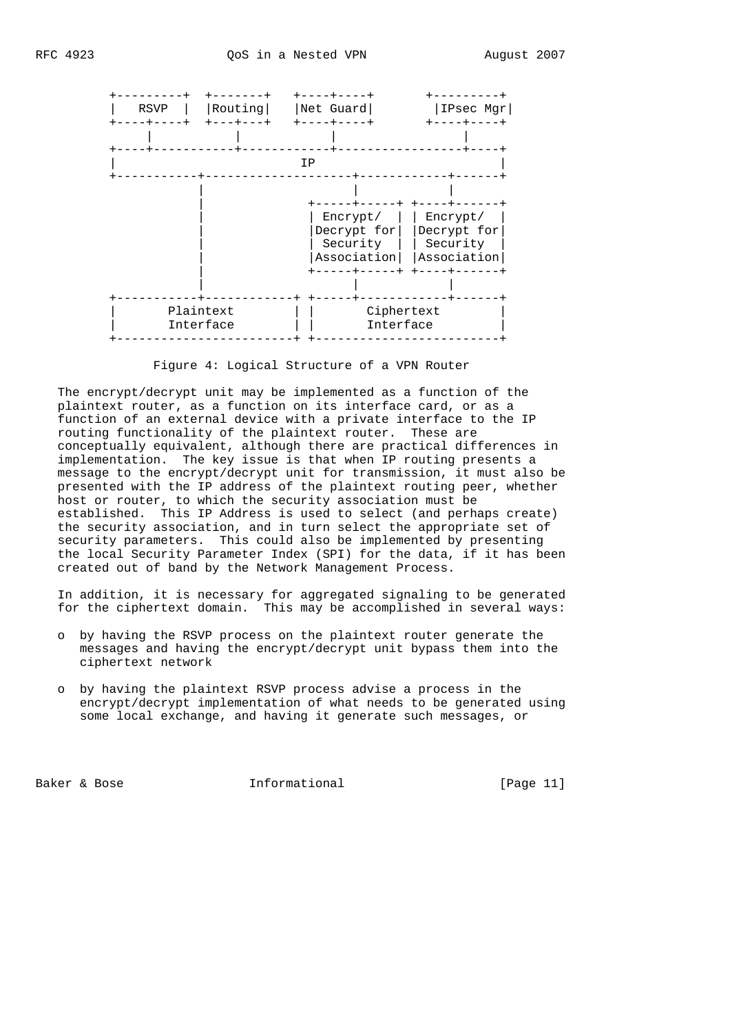



Figure 4: Logical Structure of a VPN Router

 The encrypt/decrypt unit may be implemented as a function of the plaintext router, as a function on its interface card, or as a function of an external device with a private interface to the IP routing functionality of the plaintext router. These are conceptually equivalent, although there are practical differences in implementation. The key issue is that when IP routing presents a message to the encrypt/decrypt unit for transmission, it must also be presented with the IP address of the plaintext routing peer, whether host or router, to which the security association must be established. This IP Address is used to select (and perhaps create) the security association, and in turn select the appropriate set of security parameters. This could also be implemented by presenting the local Security Parameter Index (SPI) for the data, if it has been created out of band by the Network Management Process.

 In addition, it is necessary for aggregated signaling to be generated for the ciphertext domain. This may be accomplished in several ways:

- o by having the RSVP process on the plaintext router generate the messages and having the encrypt/decrypt unit bypass them into the ciphertext network
- o by having the plaintext RSVP process advise a process in the encrypt/decrypt implementation of what needs to be generated using some local exchange, and having it generate such messages, or

Baker & Bose **Informational** [Page 11]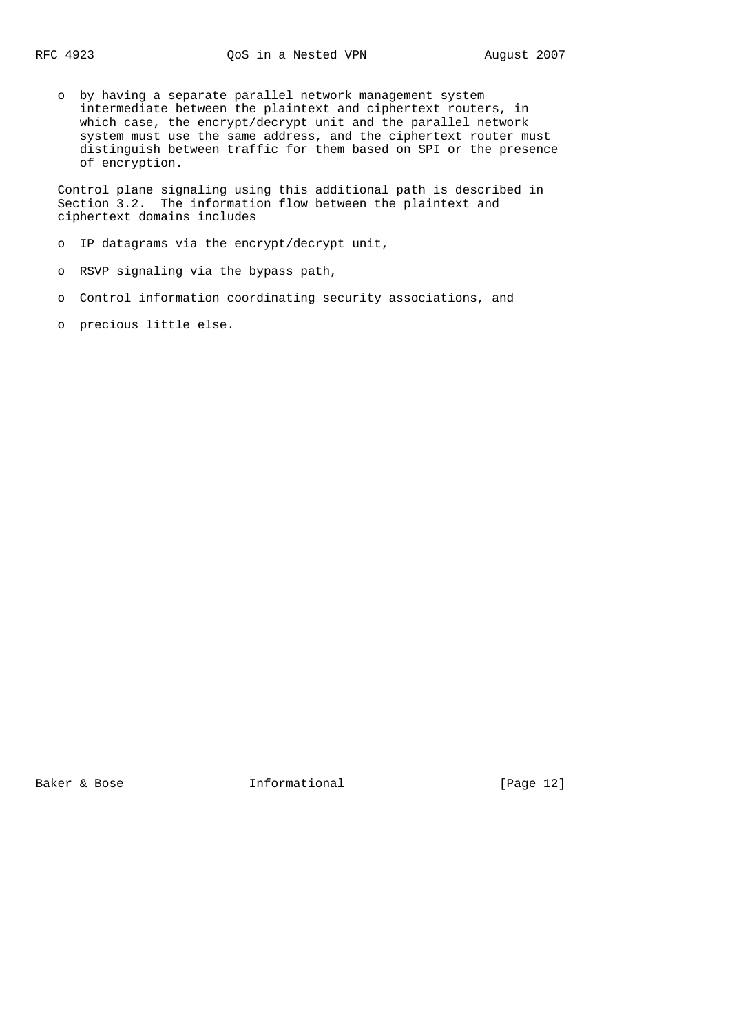o by having a separate parallel network management system intermediate between the plaintext and ciphertext routers, in which case, the encrypt/decrypt unit and the parallel network system must use the same address, and the ciphertext router must distinguish between traffic for them based on SPI or the presence of encryption.

 Control plane signaling using this additional path is described in Section 3.2. The information flow between the plaintext and ciphertext domains includes

o IP datagrams via the encrypt/decrypt unit,

o RSVP signaling via the bypass path,

- o Control information coordinating security associations, and
- o precious little else.

Baker & Bose **Informational** [Page 12]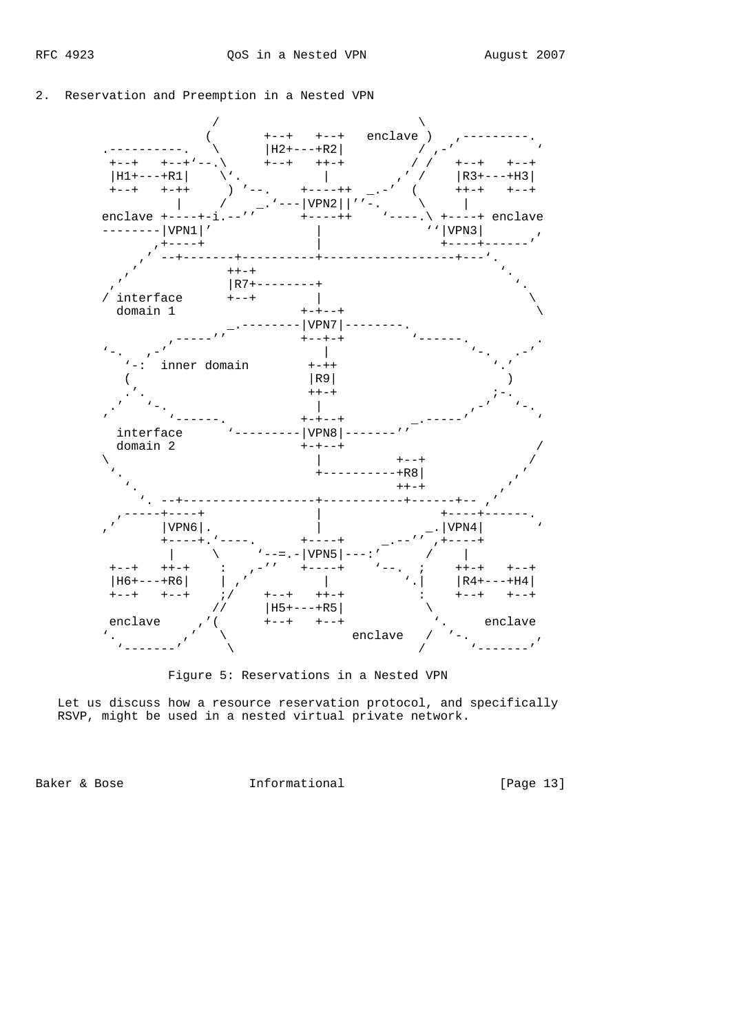## 2. Reservation and Preemption in a Nested VPN



Figure 5: Reservations in a Nested VPN

 Let us discuss how a resource reservation protocol, and specifically RSVP, might be used in a nested virtual private network.

Baker & Bose **Informational** [Page 13]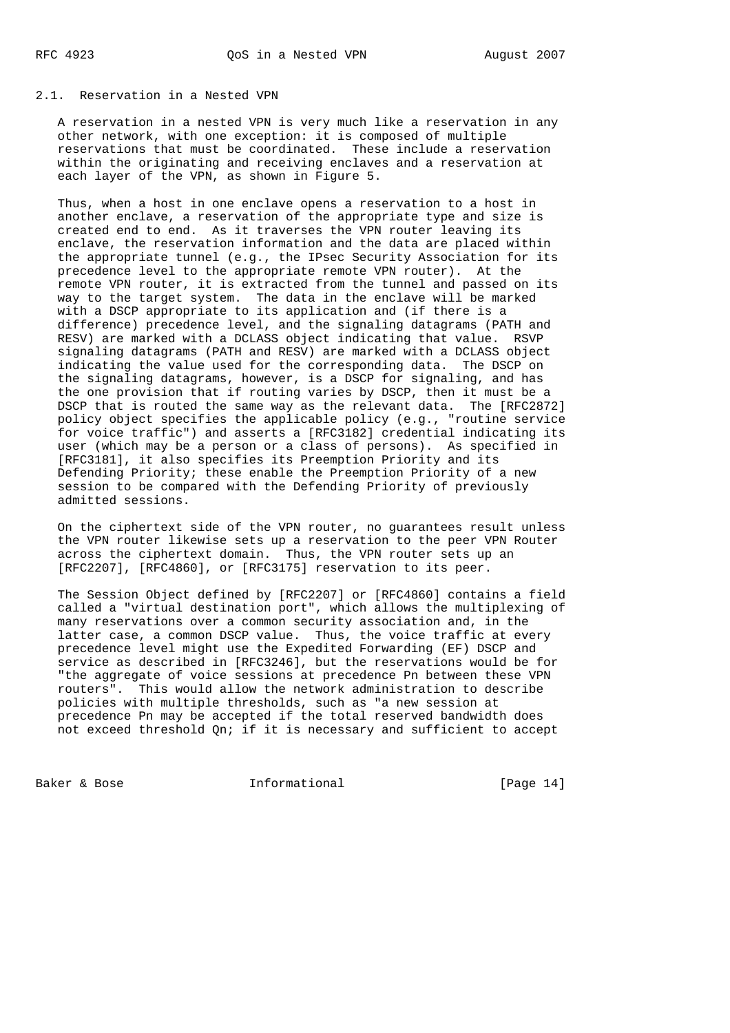## 2.1. Reservation in a Nested VPN

 A reservation in a nested VPN is very much like a reservation in any other network, with one exception: it is composed of multiple reservations that must be coordinated. These include a reservation within the originating and receiving enclaves and a reservation at each layer of the VPN, as shown in Figure 5.

 Thus, when a host in one enclave opens a reservation to a host in another enclave, a reservation of the appropriate type and size is created end to end. As it traverses the VPN router leaving its enclave, the reservation information and the data are placed within the appropriate tunnel (e.g., the IPsec Security Association for its precedence level to the appropriate remote VPN router). At the remote VPN router, it is extracted from the tunnel and passed on its way to the target system. The data in the enclave will be marked with a DSCP appropriate to its application and (if there is a difference) precedence level, and the signaling datagrams (PATH and RESV) are marked with a DCLASS object indicating that value. RSVP signaling datagrams (PATH and RESV) are marked with a DCLASS object indicating the value used for the corresponding data. The DSCP on the signaling datagrams, however, is a DSCP for signaling, and has the one provision that if routing varies by DSCP, then it must be a DSCP that is routed the same way as the relevant data. The [RFC2872] policy object specifies the applicable policy (e.g., "routine service for voice traffic") and asserts a [RFC3182] credential indicating its user (which may be a person or a class of persons). As specified in [RFC3181], it also specifies its Preemption Priority and its Defending Priority; these enable the Preemption Priority of a new session to be compared with the Defending Priority of previously admitted sessions.

 On the ciphertext side of the VPN router, no guarantees result unless the VPN router likewise sets up a reservation to the peer VPN Router across the ciphertext domain. Thus, the VPN router sets up an [RFC2207], [RFC4860], or [RFC3175] reservation to its peer.

 The Session Object defined by [RFC2207] or [RFC4860] contains a field called a "virtual destination port", which allows the multiplexing of many reservations over a common security association and, in the latter case, a common DSCP value. Thus, the voice traffic at every precedence level might use the Expedited Forwarding (EF) DSCP and service as described in [RFC3246], but the reservations would be for "the aggregate of voice sessions at precedence Pn between these VPN routers". This would allow the network administration to describe policies with multiple thresholds, such as "a new session at precedence Pn may be accepted if the total reserved bandwidth does not exceed threshold Qn; if it is necessary and sufficient to accept

Baker & Bose **Informational** [Page 14]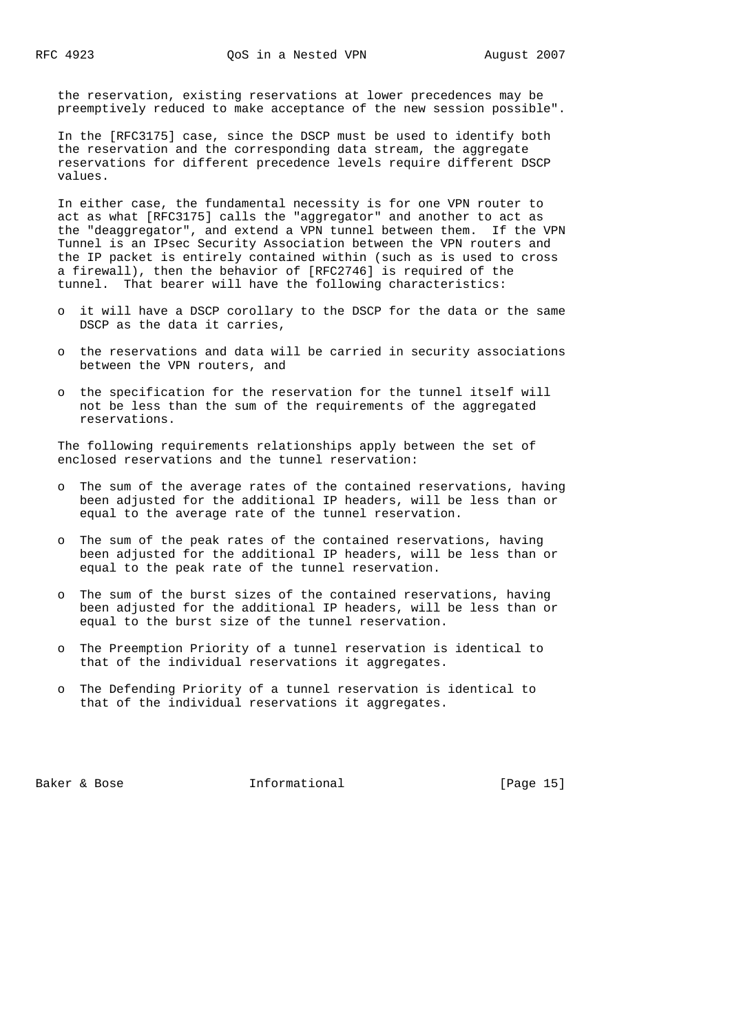the reservation, existing reservations at lower precedences may be preemptively reduced to make acceptance of the new session possible".

 In the [RFC3175] case, since the DSCP must be used to identify both the reservation and the corresponding data stream, the aggregate reservations for different precedence levels require different DSCP values.

 In either case, the fundamental necessity is for one VPN router to act as what [RFC3175] calls the "aggregator" and another to act as the "deaggregator", and extend a VPN tunnel between them. If the VPN Tunnel is an IPsec Security Association between the VPN routers and the IP packet is entirely contained within (such as is used to cross a firewall), then the behavior of [RFC2746] is required of the tunnel. That bearer will have the following characteristics:

- o it will have a DSCP corollary to the DSCP for the data or the same DSCP as the data it carries,
- o the reservations and data will be carried in security associations between the VPN routers, and
- o the specification for the reservation for the tunnel itself will not be less than the sum of the requirements of the aggregated reservations.

 The following requirements relationships apply between the set of enclosed reservations and the tunnel reservation:

- o The sum of the average rates of the contained reservations, having been adjusted for the additional IP headers, will be less than or equal to the average rate of the tunnel reservation.
- o The sum of the peak rates of the contained reservations, having been adjusted for the additional IP headers, will be less than or equal to the peak rate of the tunnel reservation.
- o The sum of the burst sizes of the contained reservations, having been adjusted for the additional IP headers, will be less than or equal to the burst size of the tunnel reservation.
- o The Preemption Priority of a tunnel reservation is identical to that of the individual reservations it aggregates.
- o The Defending Priority of a tunnel reservation is identical to that of the individual reservations it aggregates.

Baker & Bose Theorem Informational Theorem (Page 15)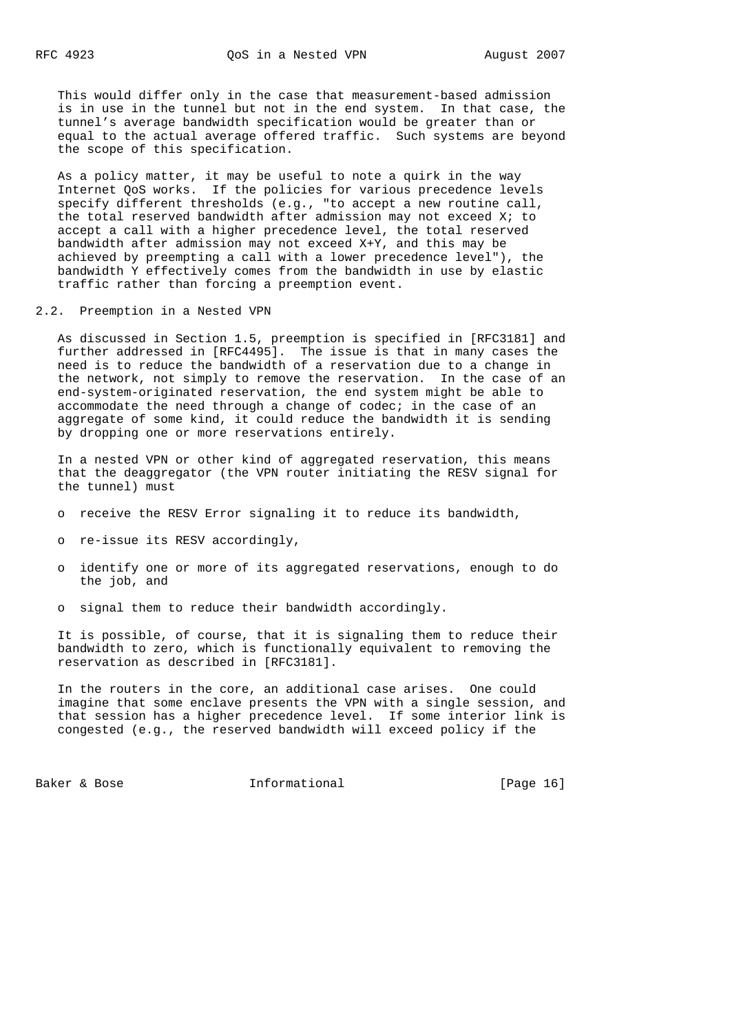This would differ only in the case that measurement-based admission is in use in the tunnel but not in the end system. In that case, the tunnel's average bandwidth specification would be greater than or equal to the actual average offered traffic. Such systems are beyond the scope of this specification.

 As a policy matter, it may be useful to note a quirk in the way Internet QoS works. If the policies for various precedence levels specify different thresholds (e.g., "to accept a new routine call, the total reserved bandwidth after admission may not exceed X; to accept a call with a higher precedence level, the total reserved bandwidth after admission may not exceed X+Y, and this may be achieved by preempting a call with a lower precedence level"), the bandwidth Y effectively comes from the bandwidth in use by elastic traffic rather than forcing a preemption event.

2.2. Preemption in a Nested VPN

 As discussed in Section 1.5, preemption is specified in [RFC3181] and further addressed in [RFC4495]. The issue is that in many cases the need is to reduce the bandwidth of a reservation due to a change in the network, not simply to remove the reservation. In the case of an end-system-originated reservation, the end system might be able to accommodate the need through a change of codec; in the case of an aggregate of some kind, it could reduce the bandwidth it is sending by dropping one or more reservations entirely.

 In a nested VPN or other kind of aggregated reservation, this means that the deaggregator (the VPN router initiating the RESV signal for the tunnel) must

- o receive the RESV Error signaling it to reduce its bandwidth,
- o re-issue its RESV accordingly,
- o identify one or more of its aggregated reservations, enough to do the job, and
- o signal them to reduce their bandwidth accordingly.

 It is possible, of course, that it is signaling them to reduce their bandwidth to zero, which is functionally equivalent to removing the reservation as described in [RFC3181].

 In the routers in the core, an additional case arises. One could imagine that some enclave presents the VPN with a single session, and that session has a higher precedence level. If some interior link is congested (e.g., the reserved bandwidth will exceed policy if the

Baker & Bose Theorem Informational Theorem (Page 16)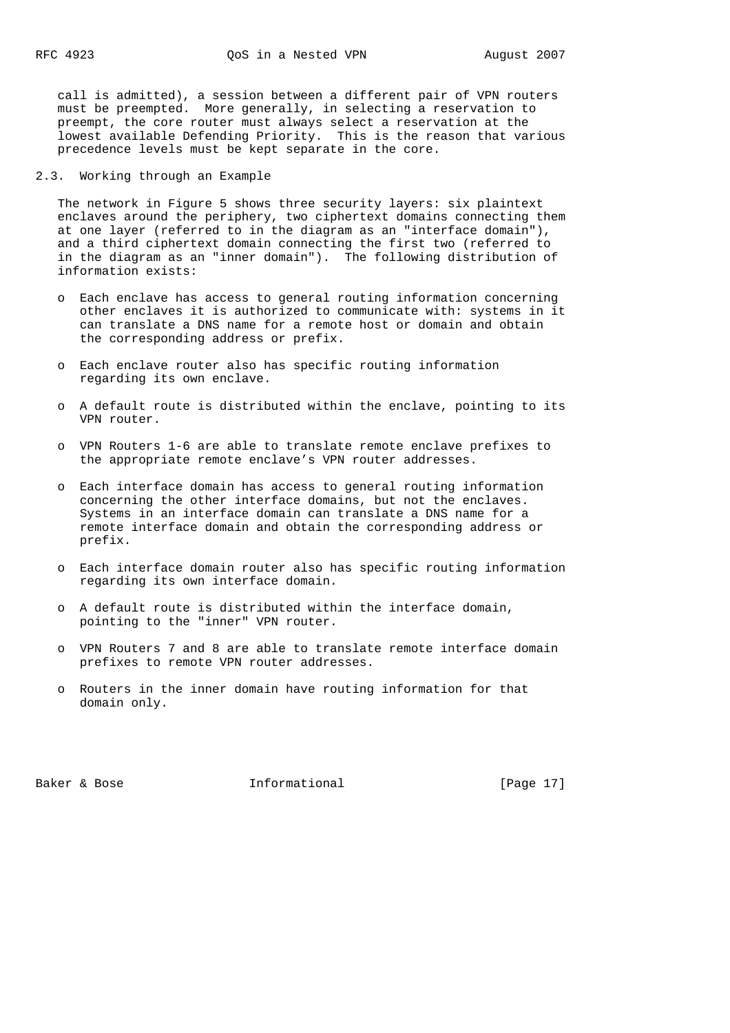call is admitted), a session between a different pair of VPN routers must be preempted. More generally, in selecting a reservation to preempt, the core router must always select a reservation at the lowest available Defending Priority. This is the reason that various precedence levels must be kept separate in the core.

2.3. Working through an Example

 The network in Figure 5 shows three security layers: six plaintext enclaves around the periphery, two ciphertext domains connecting them at one layer (referred to in the diagram as an "interface domain"), and a third ciphertext domain connecting the first two (referred to in the diagram as an "inner domain"). The following distribution of information exists:

- o Each enclave has access to general routing information concerning other enclaves it is authorized to communicate with: systems in it can translate a DNS name for a remote host or domain and obtain the corresponding address or prefix.
- o Each enclave router also has specific routing information regarding its own enclave.
- o A default route is distributed within the enclave, pointing to its VPN router.
- o VPN Routers 1-6 are able to translate remote enclave prefixes to the appropriate remote enclave's VPN router addresses.
- o Each interface domain has access to general routing information concerning the other interface domains, but not the enclaves. Systems in an interface domain can translate a DNS name for a remote interface domain and obtain the corresponding address or prefix.
- o Each interface domain router also has specific routing information regarding its own interface domain.
- o A default route is distributed within the interface domain, pointing to the "inner" VPN router.
- o VPN Routers 7 and 8 are able to translate remote interface domain prefixes to remote VPN router addresses.
- o Routers in the inner domain have routing information for that domain only.

Baker & Bose Theorem Informational [Page 17]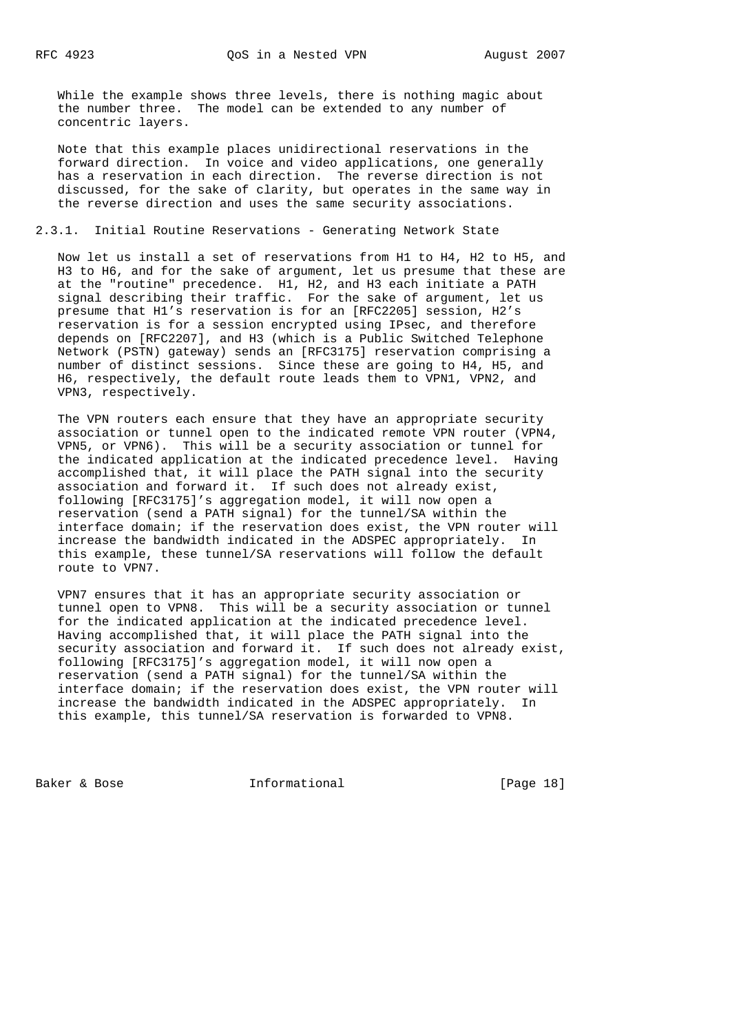While the example shows three levels, there is nothing magic about the number three. The model can be extended to any number of concentric layers.

 Note that this example places unidirectional reservations in the forward direction. In voice and video applications, one generally has a reservation in each direction. The reverse direction is not discussed, for the sake of clarity, but operates in the same way in the reverse direction and uses the same security associations.

## 2.3.1. Initial Routine Reservations - Generating Network State

 Now let us install a set of reservations from H1 to H4, H2 to H5, and H3 to H6, and for the sake of argument, let us presume that these are at the "routine" precedence. H1, H2, and H3 each initiate a PATH signal describing their traffic. For the sake of argument, let us presume that H1's reservation is for an [RFC2205] session, H2's reservation is for a session encrypted using IPsec, and therefore depends on [RFC2207], and H3 (which is a Public Switched Telephone Network (PSTN) gateway) sends an [RFC3175] reservation comprising a number of distinct sessions. Since these are going to H4, H5, and H6, respectively, the default route leads them to VPN1, VPN2, and VPN3, respectively.

 The VPN routers each ensure that they have an appropriate security association or tunnel open to the indicated remote VPN router (VPN4, VPN5, or VPN6). This will be a security association or tunnel for the indicated application at the indicated precedence level. Having accomplished that, it will place the PATH signal into the security association and forward it. If such does not already exist, following [RFC3175]'s aggregation model, it will now open a reservation (send a PATH signal) for the tunnel/SA within the interface domain; if the reservation does exist, the VPN router will increase the bandwidth indicated in the ADSPEC appropriately. In this example, these tunnel/SA reservations will follow the default route to VPN7.

 VPN7 ensures that it has an appropriate security association or tunnel open to VPN8. This will be a security association or tunnel for the indicated application at the indicated precedence level. Having accomplished that, it will place the PATH signal into the security association and forward it. If such does not already exist, following [RFC3175]'s aggregation model, it will now open a reservation (send a PATH signal) for the tunnel/SA within the interface domain; if the reservation does exist, the VPN router will increase the bandwidth indicated in the ADSPEC appropriately. In this example, this tunnel/SA reservation is forwarded to VPN8.

Baker & Bose **Informational** [Page 18]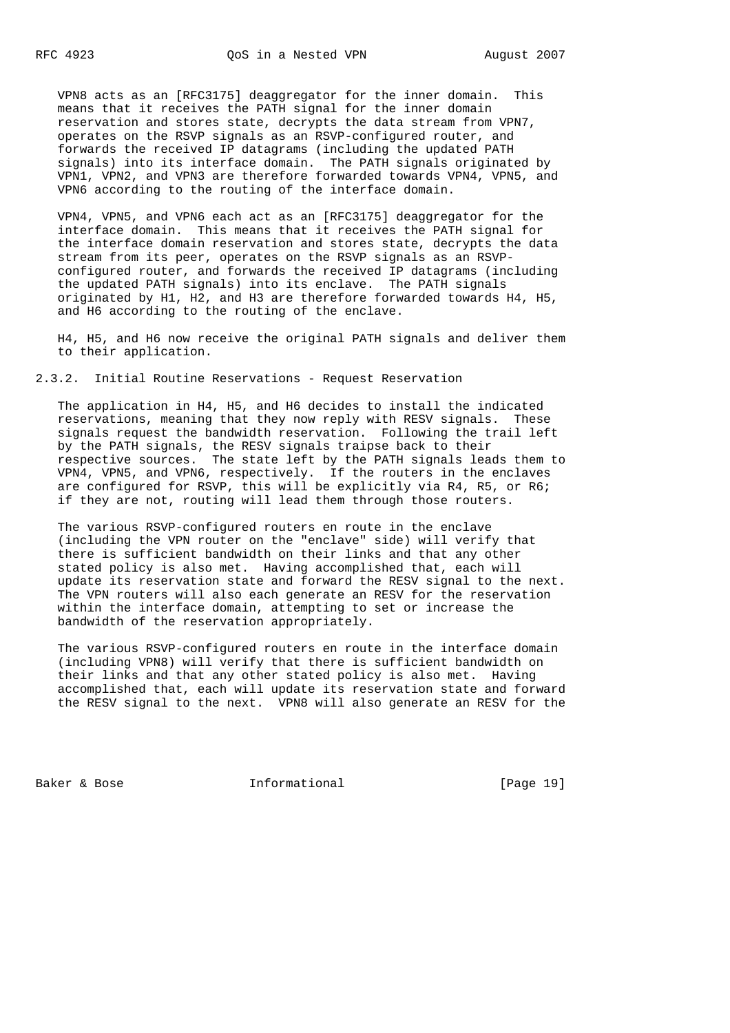VPN8 acts as an [RFC3175] deaggregator for the inner domain. This means that it receives the PATH signal for the inner domain reservation and stores state, decrypts the data stream from VPN7, operates on the RSVP signals as an RSVP-configured router, and forwards the received IP datagrams (including the updated PATH signals) into its interface domain. The PATH signals originated by VPN1, VPN2, and VPN3 are therefore forwarded towards VPN4, VPN5, and VPN6 according to the routing of the interface domain.

 VPN4, VPN5, and VPN6 each act as an [RFC3175] deaggregator for the interface domain. This means that it receives the PATH signal for the interface domain reservation and stores state, decrypts the data stream from its peer, operates on the RSVP signals as an RSVP configured router, and forwards the received IP datagrams (including the updated PATH signals) into its enclave. The PATH signals originated by H1, H2, and H3 are therefore forwarded towards H4, H5, and H6 according to the routing of the enclave.

 H4, H5, and H6 now receive the original PATH signals and deliver them to their application.

2.3.2. Initial Routine Reservations - Request Reservation

 The application in H4, H5, and H6 decides to install the indicated reservations, meaning that they now reply with RESV signals. These signals request the bandwidth reservation. Following the trail left by the PATH signals, the RESV signals traipse back to their respective sources. The state left by the PATH signals leads them to VPN4, VPN5, and VPN6, respectively. If the routers in the enclaves are configured for RSVP, this will be explicitly via R4, R5, or R6; if they are not, routing will lead them through those routers.

 The various RSVP-configured routers en route in the enclave (including the VPN router on the "enclave" side) will verify that there is sufficient bandwidth on their links and that any other stated policy is also met. Having accomplished that, each will update its reservation state and forward the RESV signal to the next. The VPN routers will also each generate an RESV for the reservation within the interface domain, attempting to set or increase the bandwidth of the reservation appropriately.

The various RSVP-configured routers en route in the interface domain (including VPN8) will verify that there is sufficient bandwidth on their links and that any other stated policy is also met. Having accomplished that, each will update its reservation state and forward the RESV signal to the next. VPN8 will also generate an RESV for the

Baker & Bose **Informational** [Page 19]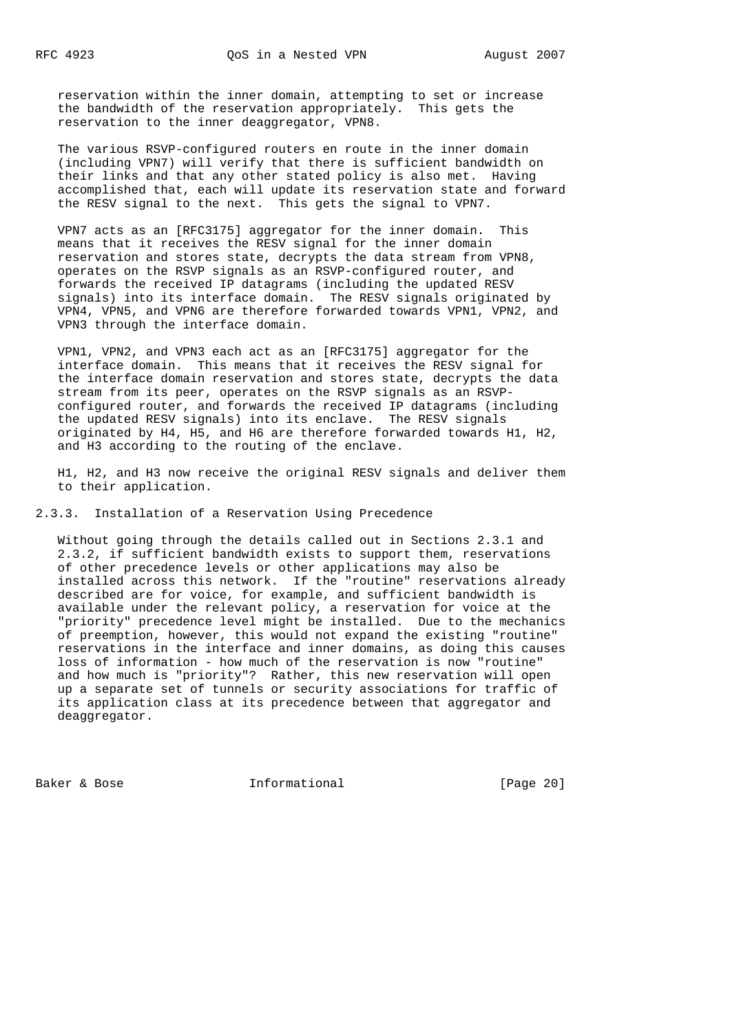reservation within the inner domain, attempting to set or increase the bandwidth of the reservation appropriately. This gets the reservation to the inner deaggregator, VPN8.

 The various RSVP-configured routers en route in the inner domain (including VPN7) will verify that there is sufficient bandwidth on their links and that any other stated policy is also met. Having accomplished that, each will update its reservation state and forward the RESV signal to the next. This gets the signal to VPN7.

 VPN7 acts as an [RFC3175] aggregator for the inner domain. This means that it receives the RESV signal for the inner domain reservation and stores state, decrypts the data stream from VPN8, operates on the RSVP signals as an RSVP-configured router, and forwards the received IP datagrams (including the updated RESV signals) into its interface domain. The RESV signals originated by VPN4, VPN5, and VPN6 are therefore forwarded towards VPN1, VPN2, and VPN3 through the interface domain.

 VPN1, VPN2, and VPN3 each act as an [RFC3175] aggregator for the interface domain. This means that it receives the RESV signal for the interface domain reservation and stores state, decrypts the data stream from its peer, operates on the RSVP signals as an RSVP configured router, and forwards the received IP datagrams (including the updated RESV signals) into its enclave. The RESV signals originated by H4, H5, and H6 are therefore forwarded towards H1, H2, and H3 according to the routing of the enclave.

 H1, H2, and H3 now receive the original RESV signals and deliver them to their application.

2.3.3. Installation of a Reservation Using Precedence

 Without going through the details called out in Sections 2.3.1 and 2.3.2, if sufficient bandwidth exists to support them, reservations of other precedence levels or other applications may also be installed across this network. If the "routine" reservations already described are for voice, for example, and sufficient bandwidth is available under the relevant policy, a reservation for voice at the "priority" precedence level might be installed. Due to the mechanics of preemption, however, this would not expand the existing "routine" reservations in the interface and inner domains, as doing this causes loss of information - how much of the reservation is now "routine" and how much is "priority"? Rather, this new reservation will open up a separate set of tunnels or security associations for traffic of its application class at its precedence between that aggregator and deaggregator.

Baker & Bose **Informational** [Page 20]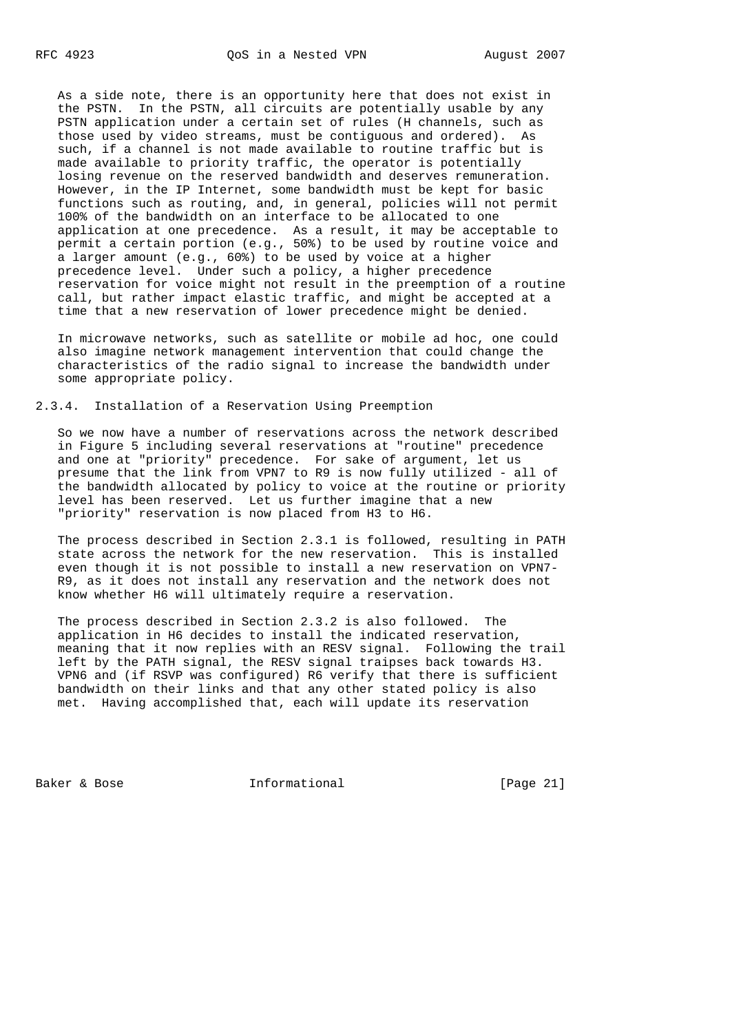As a side note, there is an opportunity here that does not exist in the PSTN. In the PSTN, all circuits are potentially usable by any PSTN application under a certain set of rules (H channels, such as those used by video streams, must be contiguous and ordered). As such, if a channel is not made available to routine traffic but is made available to priority traffic, the operator is potentially losing revenue on the reserved bandwidth and deserves remuneration. However, in the IP Internet, some bandwidth must be kept for basic functions such as routing, and, in general, policies will not permit 100% of the bandwidth on an interface to be allocated to one application at one precedence. As a result, it may be acceptable to permit a certain portion (e.g., 50%) to be used by routine voice and a larger amount (e.g., 60%) to be used by voice at a higher precedence level. Under such a policy, a higher precedence reservation for voice might not result in the preemption of a routine call, but rather impact elastic traffic, and might be accepted at a time that a new reservation of lower precedence might be denied.

 In microwave networks, such as satellite or mobile ad hoc, one could also imagine network management intervention that could change the characteristics of the radio signal to increase the bandwidth under some appropriate policy.

2.3.4. Installation of a Reservation Using Preemption

 So we now have a number of reservations across the network described in Figure 5 including several reservations at "routine" precedence and one at "priority" precedence. For sake of argument, let us presume that the link from VPN7 to R9 is now fully utilized - all of the bandwidth allocated by policy to voice at the routine or priority level has been reserved. Let us further imagine that a new "priority" reservation is now placed from H3 to H6.

 The process described in Section 2.3.1 is followed, resulting in PATH state across the network for the new reservation. This is installed even though it is not possible to install a new reservation on VPN7- R9, as it does not install any reservation and the network does not know whether H6 will ultimately require a reservation.

 The process described in Section 2.3.2 is also followed. The application in H6 decides to install the indicated reservation, meaning that it now replies with an RESV signal. Following the trail left by the PATH signal, the RESV signal traipses back towards H3. VPN6 and (if RSVP was configured) R6 verify that there is sufficient bandwidth on their links and that any other stated policy is also met. Having accomplished that, each will update its reservation

Baker & Bose **Informational** [Page 21]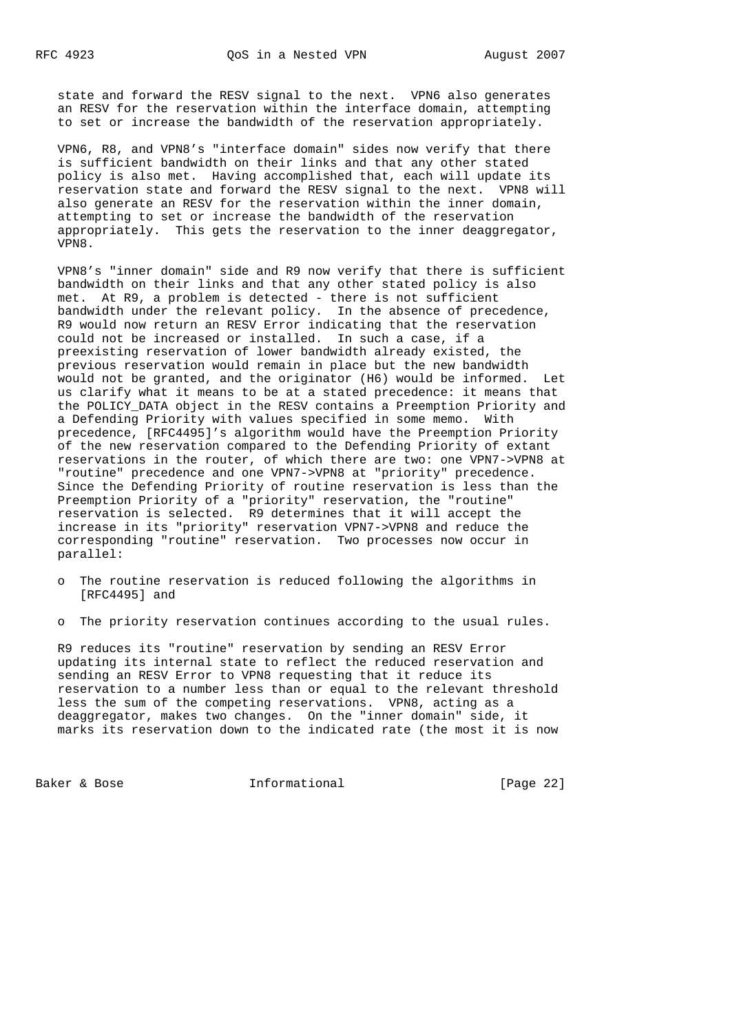state and forward the RESV signal to the next. VPN6 also generates an RESV for the reservation within the interface domain, attempting to set or increase the bandwidth of the reservation appropriately.

 VPN6, R8, and VPN8's "interface domain" sides now verify that there is sufficient bandwidth on their links and that any other stated policy is also met. Having accomplished that, each will update its reservation state and forward the RESV signal to the next. VPN8 will also generate an RESV for the reservation within the inner domain, attempting to set or increase the bandwidth of the reservation appropriately. This gets the reservation to the inner deaggregator, VPN8.

 VPN8's "inner domain" side and R9 now verify that there is sufficient bandwidth on their links and that any other stated policy is also met. At R9, a problem is detected - there is not sufficient bandwidth under the relevant policy. In the absence of precedence, R9 would now return an RESV Error indicating that the reservation could not be increased or installed. In such a case, if a preexisting reservation of lower bandwidth already existed, the previous reservation would remain in place but the new bandwidth would not be granted, and the originator (H6) would be informed. Let us clarify what it means to be at a stated precedence: it means that the POLICY\_DATA object in the RESV contains a Preemption Priority and a Defending Priority with values specified in some memo. With precedence, [RFC4495]'s algorithm would have the Preemption Priority of the new reservation compared to the Defending Priority of extant reservations in the router, of which there are two: one VPN7->VPN8 at "routine" precedence and one VPN7->VPN8 at "priority" precedence. Since the Defending Priority of routine reservation is less than the Preemption Priority of a "priority" reservation, the "routine" reservation is selected. R9 determines that it will accept the increase in its "priority" reservation VPN7->VPN8 and reduce the corresponding "routine" reservation. Two processes now occur in parallel:

- o The routine reservation is reduced following the algorithms in [RFC4495] and
- o The priority reservation continues according to the usual rules.

 R9 reduces its "routine" reservation by sending an RESV Error updating its internal state to reflect the reduced reservation and sending an RESV Error to VPN8 requesting that it reduce its reservation to a number less than or equal to the relevant threshold less the sum of the competing reservations. VPN8, acting as a deaggregator, makes two changes. On the "inner domain" side, it marks its reservation down to the indicated rate (the most it is now

Baker & Bose **Informational** [Page 22]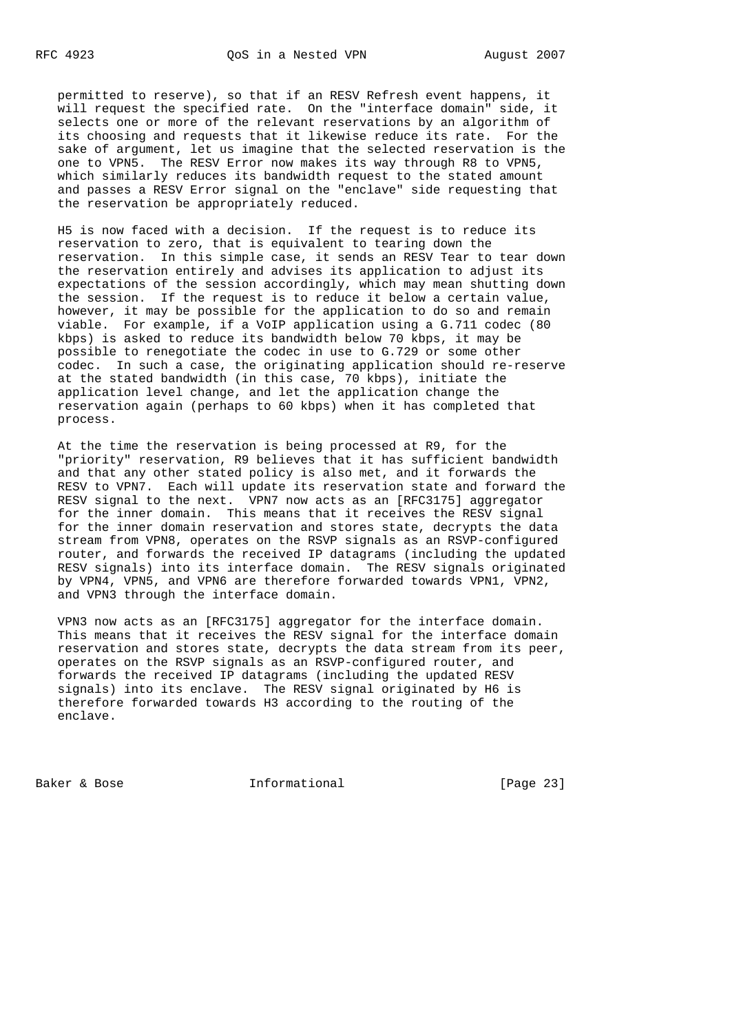permitted to reserve), so that if an RESV Refresh event happens, it will request the specified rate. On the "interface domain" side, it selects one or more of the relevant reservations by an algorithm of its choosing and requests that it likewise reduce its rate. For the sake of argument, let us imagine that the selected reservation is the one to VPN5. The RESV Error now makes its way through R8 to VPN5, which similarly reduces its bandwidth request to the stated amount and passes a RESV Error signal on the "enclave" side requesting that the reservation be appropriately reduced.

 H5 is now faced with a decision. If the request is to reduce its reservation to zero, that is equivalent to tearing down the reservation. In this simple case, it sends an RESV Tear to tear down the reservation entirely and advises its application to adjust its expectations of the session accordingly, which may mean shutting down the session. If the request is to reduce it below a certain value, however, it may be possible for the application to do so and remain viable. For example, if a VoIP application using a G.711 codec (80 kbps) is asked to reduce its bandwidth below 70 kbps, it may be possible to renegotiate the codec in use to G.729 or some other codec. In such a case, the originating application should re-reserve at the stated bandwidth (in this case, 70 kbps), initiate the application level change, and let the application change the reservation again (perhaps to 60 kbps) when it has completed that process.

 At the time the reservation is being processed at R9, for the "priority" reservation, R9 believes that it has sufficient bandwidth and that any other stated policy is also met, and it forwards the RESV to VPN7. Each will update its reservation state and forward the RESV signal to the next. VPN7 now acts as an [RFC3175] aggregator for the inner domain. This means that it receives the RESV signal for the inner domain reservation and stores state, decrypts the data stream from VPN8, operates on the RSVP signals as an RSVP-configured router, and forwards the received IP datagrams (including the updated RESV signals) into its interface domain. The RESV signals originated by VPN4, VPN5, and VPN6 are therefore forwarded towards VPN1, VPN2, and VPN3 through the interface domain.

 VPN3 now acts as an [RFC3175] aggregator for the interface domain. This means that it receives the RESV signal for the interface domain reservation and stores state, decrypts the data stream from its peer, operates on the RSVP signals as an RSVP-configured router, and forwards the received IP datagrams (including the updated RESV signals) into its enclave. The RESV signal originated by H6 is therefore forwarded towards H3 according to the routing of the enclave.

Baker & Bose **Informational** [Page 23]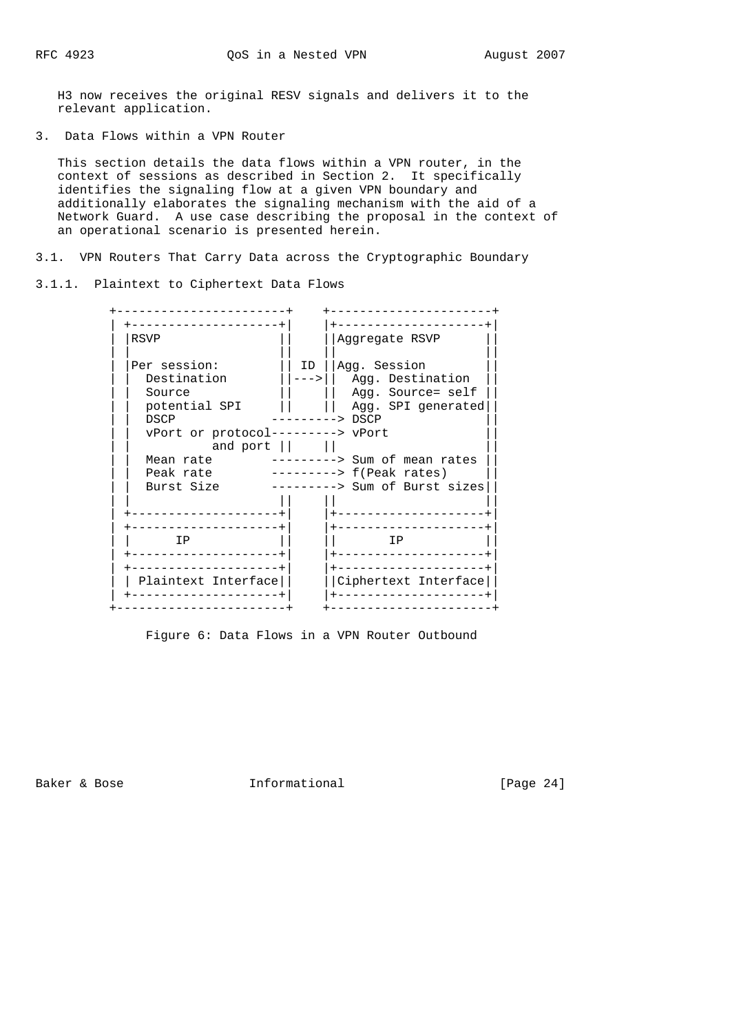H3 now receives the original RESV signals and delivers it to the relevant application.

3. Data Flows within a VPN Router

 This section details the data flows within a VPN router, in the context of sessions as described in Section 2. It specifically identifies the signaling flow at a given VPN boundary and additionally elaborates the signaling mechanism with the aid of a Network Guard. A use case describing the proposal in the context of an operational scenario is presented herein.

3.1. VPN Routers That Carry Data across the Cryptographic Boundary

3.1.1. Plaintext to Ciphertext Data Flows

| RSVP                                                                                                                                                    |              | Aggregate RSVP                                                                                                                                                                                |
|---------------------------------------------------------------------------------------------------------------------------------------------------------|--------------|-----------------------------------------------------------------------------------------------------------------------------------------------------------------------------------------------|
| Per session:<br>Destination<br>Source<br>potential SPI<br>DSCP<br>vPort or protocol---------> vPort<br>and port<br>Mean rate<br>Peak rate<br>Burst Size | ID<br>$---2$ | Agg. Session<br>Agg. Destination<br>Agg. Source= self<br>Agg. SPI generated<br>$\leftarrow$ $>$ DSCP<br>------> Sum of mean rates<br>$------> f(Peak rates)$<br>---------> Sum of Burst sizes |
| IP<br>Plaintext Interface                                                                                                                               |              | ΙP<br>Ciphertext Interface                                                                                                                                                                    |

Figure 6: Data Flows in a VPN Router Outbound

Baker & Bose **Informational** [Page 24]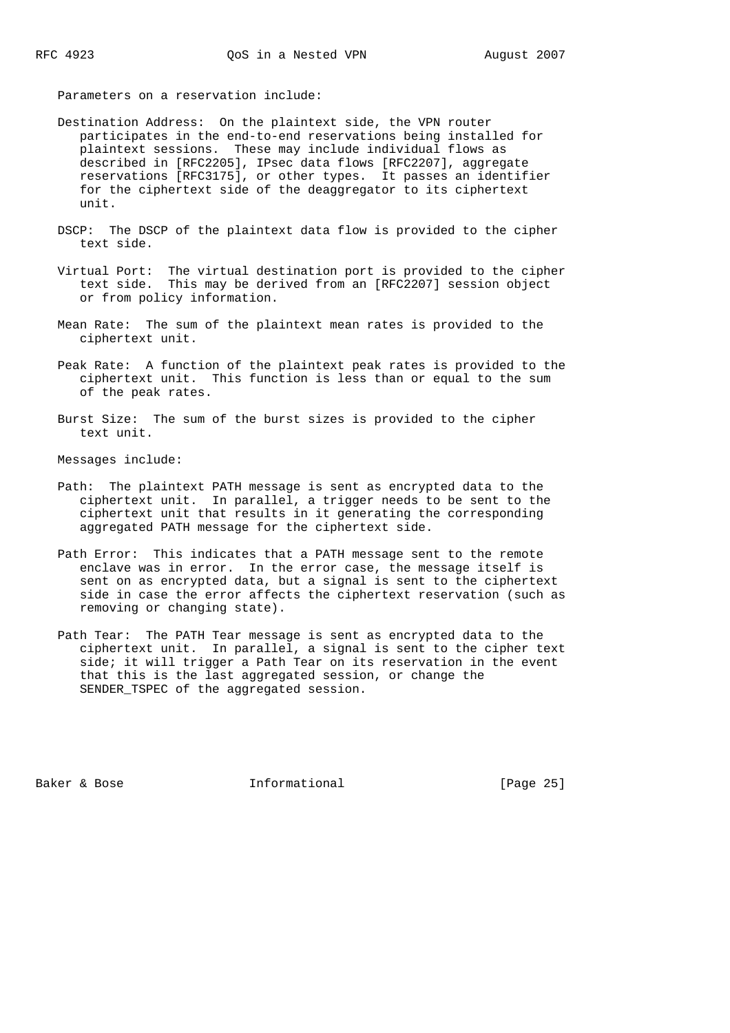Parameters on a reservation include:

- Destination Address: On the plaintext side, the VPN router participates in the end-to-end reservations being installed for plaintext sessions. These may include individual flows as described in [RFC2205], IPsec data flows [RFC2207], aggregate reservations [RFC3175], or other types. It passes an identifier for the ciphertext side of the deaggregator to its ciphertext unit.
- DSCP: The DSCP of the plaintext data flow is provided to the cipher text side.
- Virtual Port: The virtual destination port is provided to the cipher text side. This may be derived from an [RFC2207] session object or from policy information.
- Mean Rate: The sum of the plaintext mean rates is provided to the ciphertext unit.
- Peak Rate: A function of the plaintext peak rates is provided to the ciphertext unit. This function is less than or equal to the sum of the peak rates.
- Burst Size: The sum of the burst sizes is provided to the cipher text unit.

Messages include:

- Path: The plaintext PATH message is sent as encrypted data to the ciphertext unit. In parallel, a trigger needs to be sent to the ciphertext unit that results in it generating the corresponding aggregated PATH message for the ciphertext side.
- Path Error: This indicates that a PATH message sent to the remote enclave was in error. In the error case, the message itself is sent on as encrypted data, but a signal is sent to the ciphertext side in case the error affects the ciphertext reservation (such as removing or changing state).
- Path Tear: The PATH Tear message is sent as encrypted data to the ciphertext unit. In parallel, a signal is sent to the cipher text side; it will trigger a Path Tear on its reservation in the event that this is the last aggregated session, or change the SENDER\_TSPEC of the aggregated session.

Baker & Bose Theorem Informational Theorem (Page 25)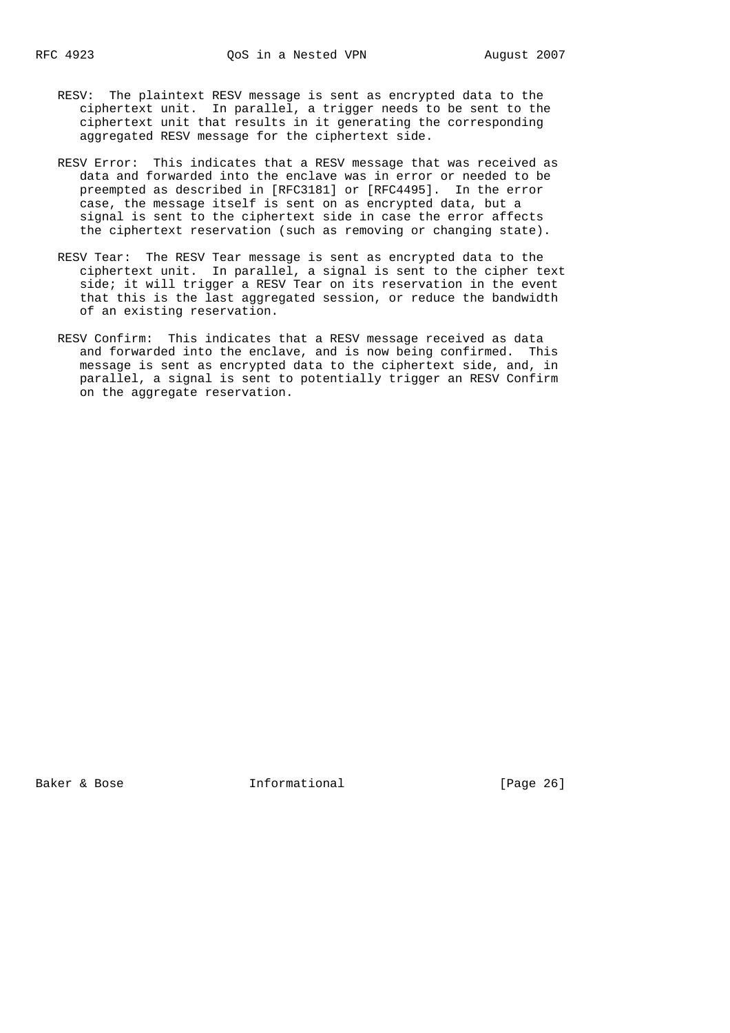- RESV: The plaintext RESV message is sent as encrypted data to the ciphertext unit. In parallel, a trigger needs to be sent to the ciphertext unit that results in it generating the corresponding aggregated RESV message for the ciphertext side.
- RESV Error: This indicates that a RESV message that was received as data and forwarded into the enclave was in error or needed to be preempted as described in [RFC3181] or [RFC4495]. In the error case, the message itself is sent on as encrypted data, but a signal is sent to the ciphertext side in case the error affects the ciphertext reservation (such as removing or changing state).
- RESV Tear: The RESV Tear message is sent as encrypted data to the ciphertext unit. In parallel, a signal is sent to the cipher text side; it will trigger a RESV Tear on its reservation in the event that this is the last aggregated session, or reduce the bandwidth of an existing reservation.
- RESV Confirm: This indicates that a RESV message received as data and forwarded into the enclave, and is now being confirmed. This message is sent as encrypted data to the ciphertext side, and, in parallel, a signal is sent to potentially trigger an RESV Confirm on the aggregate reservation.

Baker & Bose **Informational** [Page 26]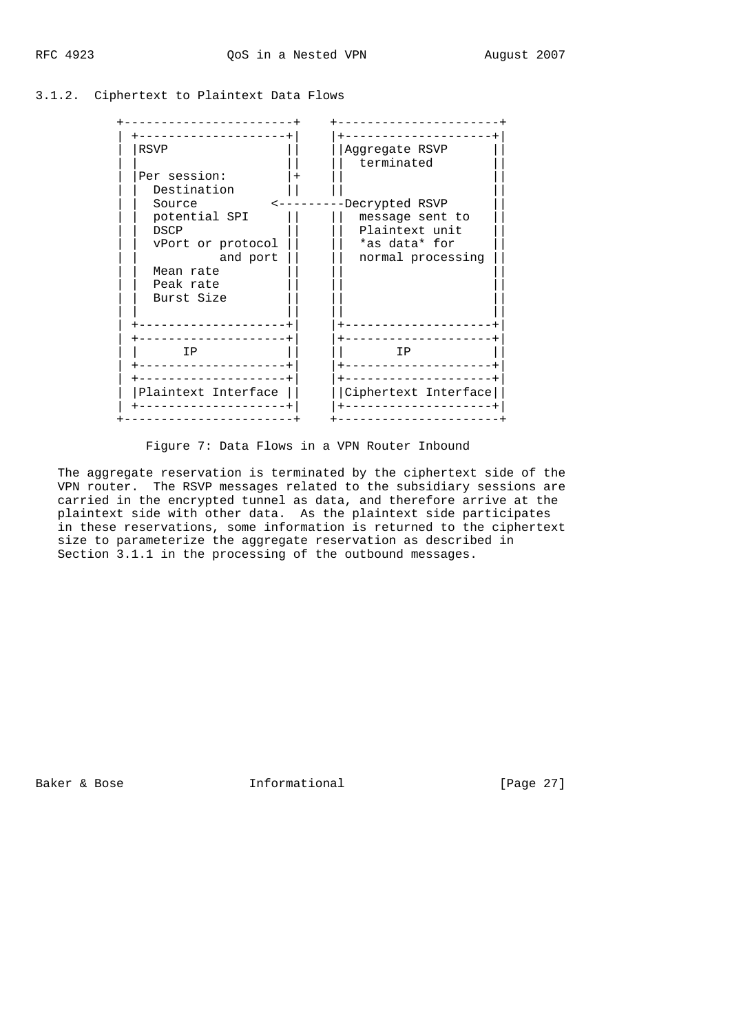#### 3.1.2. Ciphertext to Plaintext Data Flows

| <b>RSVP</b>         | Aggregate RSVP              |
|---------------------|-----------------------------|
|                     | terminated                  |
| Per session:        | $\pm$                       |
| Destination         |                             |
| Source              | -Decrypted RSVP<br><------- |
| potential SPI       | message sent to             |
| <b>DSCP</b>         | Plaintext unit              |
| vPort or protocol   | *as data* for               |
| and port            | normal processing           |
| Mean rate           |                             |
| Peak rate           |                             |
| Burst Size          |                             |
|                     |                             |
|                     |                             |
|                     |                             |
| IP                  | ΙP                          |
|                     |                             |
|                     |                             |
|                     |                             |
| Plaintext Interface | Ciphertext Interface        |
|                     |                             |
|                     |                             |

Figure 7: Data Flows in a VPN Router Inbound

 The aggregate reservation is terminated by the ciphertext side of the VPN router. The RSVP messages related to the subsidiary sessions are carried in the encrypted tunnel as data, and therefore arrive at the plaintext side with other data. As the plaintext side participates in these reservations, some information is returned to the ciphertext size to parameterize the aggregate reservation as described in Section 3.1.1 in the processing of the outbound messages.

Baker & Bose **Informational** [Page 27]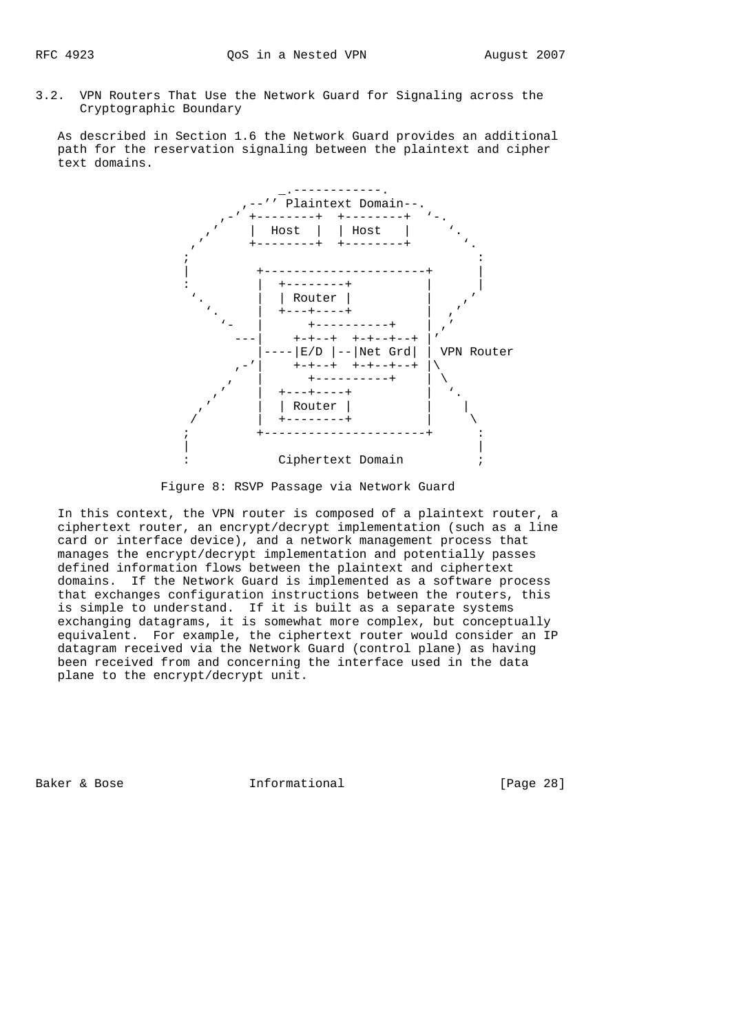3.2. VPN Routers That Use the Network Guard for Signaling across the Cryptographic Boundary

 As described in Section 1.6 the Network Guard provides an additional path for the reservation signaling between the plaintext and cipher text domains.



Figure 8: RSVP Passage via Network Guard

 In this context, the VPN router is composed of a plaintext router, a ciphertext router, an encrypt/decrypt implementation (such as a line card or interface device), and a network management process that manages the encrypt/decrypt implementation and potentially passes defined information flows between the plaintext and ciphertext domains. If the Network Guard is implemented as a software process that exchanges configuration instructions between the routers, this is simple to understand. If it is built as a separate systems exchanging datagrams, it is somewhat more complex, but conceptually equivalent. For example, the ciphertext router would consider an IP datagram received via the Network Guard (control plane) as having been received from and concerning the interface used in the data plane to the encrypt/decrypt unit.

Baker & Bose **Informational** [Page 28]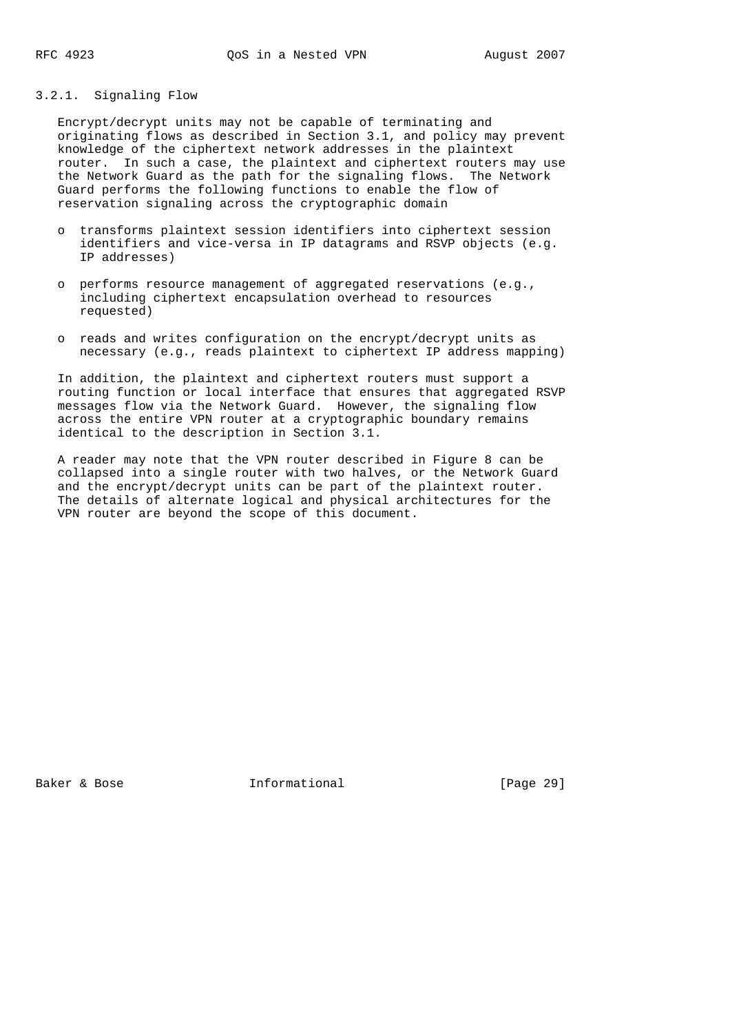## 3.2.1. Signaling Flow

 Encrypt/decrypt units may not be capable of terminating and originating flows as described in Section 3.1, and policy may prevent knowledge of the ciphertext network addresses in the plaintext router. In such a case, the plaintext and ciphertext routers may use the Network Guard as the path for the signaling flows. The Network Guard performs the following functions to enable the flow of reservation signaling across the cryptographic domain

- o transforms plaintext session identifiers into ciphertext session identifiers and vice-versa in IP datagrams and RSVP objects (e.g. IP addresses)
- o performs resource management of aggregated reservations (e.g., including ciphertext encapsulation overhead to resources requested)
- o reads and writes configuration on the encrypt/decrypt units as necessary (e.g., reads plaintext to ciphertext IP address mapping)

 In addition, the plaintext and ciphertext routers must support a routing function or local interface that ensures that aggregated RSVP messages flow via the Network Guard. However, the signaling flow across the entire VPN router at a cryptographic boundary remains identical to the description in Section 3.1.

 A reader may note that the VPN router described in Figure 8 can be collapsed into a single router with two halves, or the Network Guard and the encrypt/decrypt units can be part of the plaintext router. The details of alternate logical and physical architectures for the VPN router are beyond the scope of this document.

Baker & Bose **Informational** [Page 29]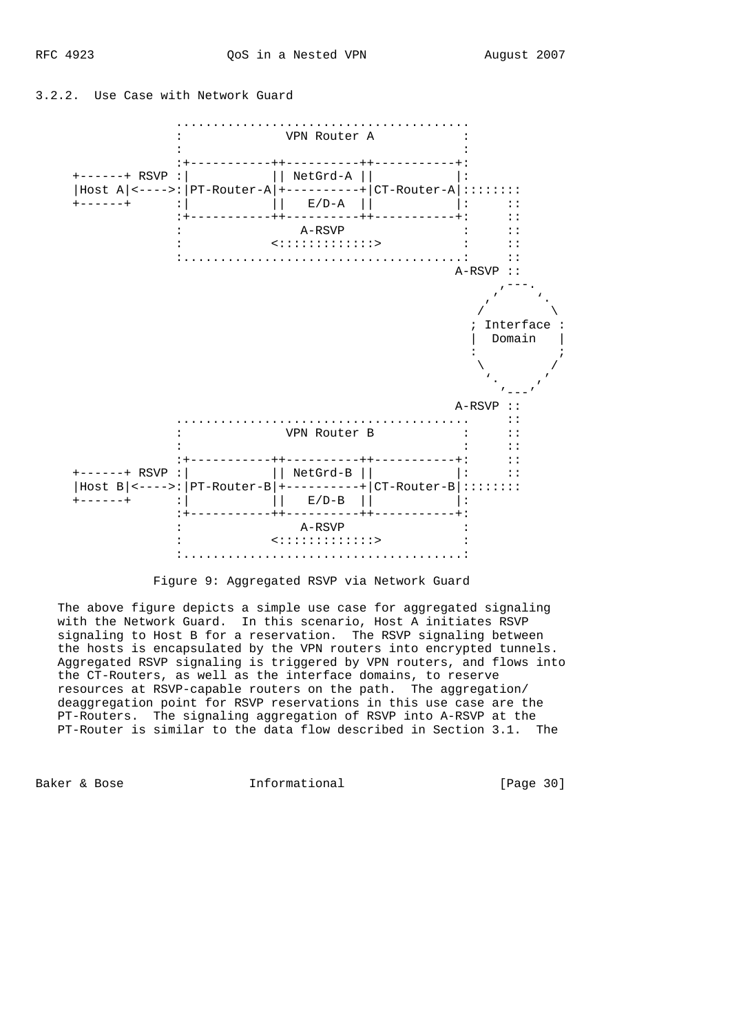



Figure 9: Aggregated RSVP via Network Guard

 The above figure depicts a simple use case for aggregated signaling with the Network Guard. In this scenario, Host A initiates RSVP signaling to Host B for a reservation. The RSVP signaling between the hosts is encapsulated by the VPN routers into encrypted tunnels. Aggregated RSVP signaling is triggered by VPN routers, and flows into the CT-Routers, as well as the interface domains, to reserve resources at RSVP-capable routers on the path. The aggregation/ deaggregation point for RSVP reservations in this use case are the PT-Routers. The signaling aggregation of RSVP into A-RSVP at the PT-Router is similar to the data flow described in Section 3.1. The

Baker & Bose **Informational** [Page 30]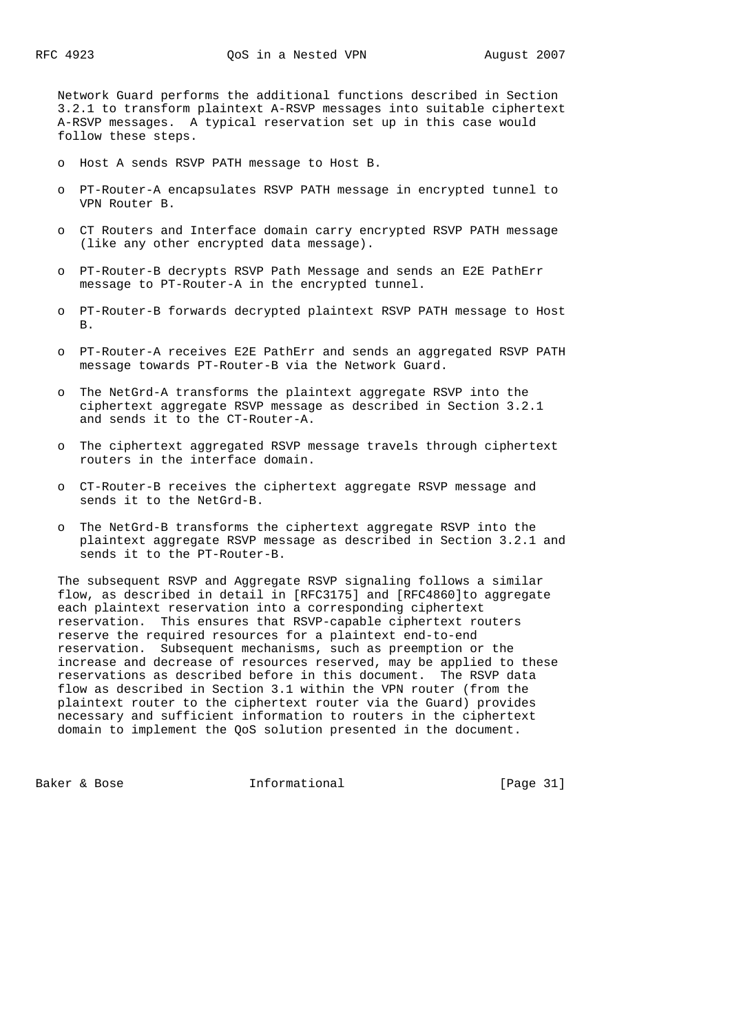Network Guard performs the additional functions described in Section 3.2.1 to transform plaintext A-RSVP messages into suitable ciphertext A-RSVP messages. A typical reservation set up in this case would follow these steps.

- o Host A sends RSVP PATH message to Host B.
- o PT-Router-A encapsulates RSVP PATH message in encrypted tunnel to VPN Router B.
- o CT Routers and Interface domain carry encrypted RSVP PATH message (like any other encrypted data message).
- o PT-Router-B decrypts RSVP Path Message and sends an E2E PathErr message to PT-Router-A in the encrypted tunnel.
- o PT-Router-B forwards decrypted plaintext RSVP PATH message to Host B.
- o PT-Router-A receives E2E PathErr and sends an aggregated RSVP PATH message towards PT-Router-B via the Network Guard.
- o The NetGrd-A transforms the plaintext aggregate RSVP into the ciphertext aggregate RSVP message as described in Section 3.2.1 and sends it to the CT-Router-A.
- o The ciphertext aggregated RSVP message travels through ciphertext routers in the interface domain.
- o CT-Router-B receives the ciphertext aggregate RSVP message and sends it to the NetGrd-B.
- o The NetGrd-B transforms the ciphertext aggregate RSVP into the plaintext aggregate RSVP message as described in Section 3.2.1 and sends it to the PT-Router-B.

 The subsequent RSVP and Aggregate RSVP signaling follows a similar flow, as described in detail in [RFC3175] and [RFC4860]to aggregate each plaintext reservation into a corresponding ciphertext reservation. This ensures that RSVP-capable ciphertext routers reserve the required resources for a plaintext end-to-end reservation. Subsequent mechanisms, such as preemption or the increase and decrease of resources reserved, may be applied to these reservations as described before in this document. The RSVP data flow as described in Section 3.1 within the VPN router (from the plaintext router to the ciphertext router via the Guard) provides necessary and sufficient information to routers in the ciphertext domain to implement the QoS solution presented in the document.

Baker & Bose Theorem Informational Theorem (Page 31)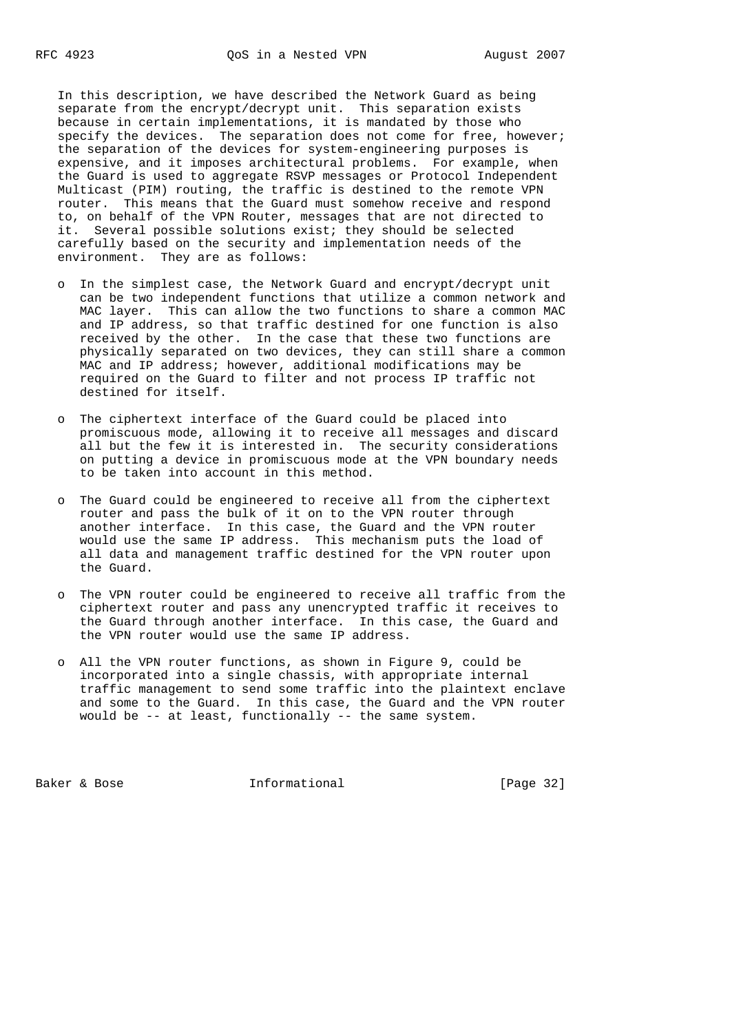In this description, we have described the Network Guard as being separate from the encrypt/decrypt unit. This separation exists because in certain implementations, it is mandated by those who specify the devices. The separation does not come for free, however; the separation of the devices for system-engineering purposes is expensive, and it imposes architectural problems. For example, when the Guard is used to aggregate RSVP messages or Protocol Independent Multicast (PIM) routing, the traffic is destined to the remote VPN router. This means that the Guard must somehow receive and respond to, on behalf of the VPN Router, messages that are not directed to it. Several possible solutions exist; they should be selected carefully based on the security and implementation needs of the environment. They are as follows:

- o In the simplest case, the Network Guard and encrypt/decrypt unit can be two independent functions that utilize a common network and MAC layer. This can allow the two functions to share a common MAC and IP address, so that traffic destined for one function is also received by the other. In the case that these two functions are physically separated on two devices, they can still share a common MAC and IP address; however, additional modifications may be required on the Guard to filter and not process IP traffic not destined for itself.
- o The ciphertext interface of the Guard could be placed into promiscuous mode, allowing it to receive all messages and discard all but the few it is interested in. The security considerations on putting a device in promiscuous mode at the VPN boundary needs to be taken into account in this method.
- o The Guard could be engineered to receive all from the ciphertext router and pass the bulk of it on to the VPN router through another interface. In this case, the Guard and the VPN router would use the same IP address. This mechanism puts the load of all data and management traffic destined for the VPN router upon the Guard.
- o The VPN router could be engineered to receive all traffic from the ciphertext router and pass any unencrypted traffic it receives to the Guard through another interface. In this case, the Guard and the VPN router would use the same IP address.
- o All the VPN router functions, as shown in Figure 9, could be incorporated into a single chassis, with appropriate internal traffic management to send some traffic into the plaintext enclave and some to the Guard. In this case, the Guard and the VPN router would be -- at least, functionally -- the same system.

Baker & Bose **Informational** [Page 32]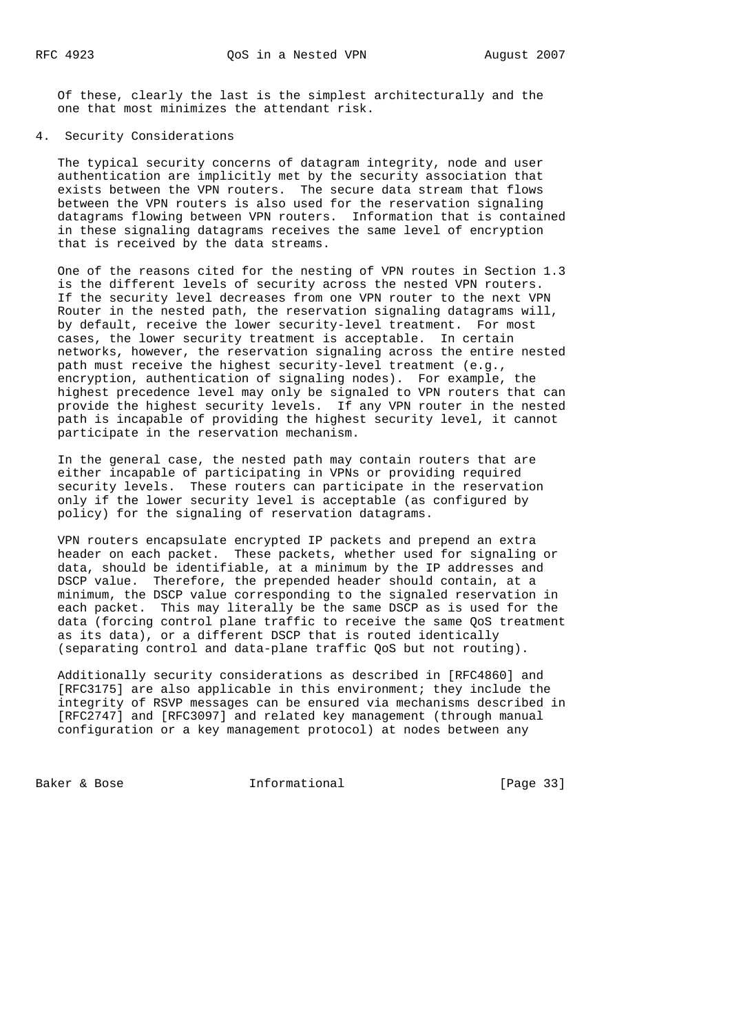Of these, clearly the last is the simplest architecturally and the one that most minimizes the attendant risk.

## 4. Security Considerations

 The typical security concerns of datagram integrity, node and user authentication are implicitly met by the security association that exists between the VPN routers. The secure data stream that flows between the VPN routers is also used for the reservation signaling datagrams flowing between VPN routers. Information that is contained in these signaling datagrams receives the same level of encryption that is received by the data streams.

 One of the reasons cited for the nesting of VPN routes in Section 1.3 is the different levels of security across the nested VPN routers. If the security level decreases from one VPN router to the next VPN Router in the nested path, the reservation signaling datagrams will, by default, receive the lower security-level treatment. For most cases, the lower security treatment is acceptable. In certain networks, however, the reservation signaling across the entire nested path must receive the highest security-level treatment (e.g., encryption, authentication of signaling nodes). For example, the highest precedence level may only be signaled to VPN routers that can provide the highest security levels. If any VPN router in the nested path is incapable of providing the highest security level, it cannot participate in the reservation mechanism.

 In the general case, the nested path may contain routers that are either incapable of participating in VPNs or providing required security levels. These routers can participate in the reservation only if the lower security level is acceptable (as configured by policy) for the signaling of reservation datagrams.

 VPN routers encapsulate encrypted IP packets and prepend an extra header on each packet. These packets, whether used for signaling or data, should be identifiable, at a minimum by the IP addresses and DSCP value. Therefore, the prepended header should contain, at a minimum, the DSCP value corresponding to the signaled reservation in each packet. This may literally be the same DSCP as is used for the data (forcing control plane traffic to receive the same QoS treatment as its data), or a different DSCP that is routed identically (separating control and data-plane traffic QoS but not routing).

 Additionally security considerations as described in [RFC4860] and [RFC3175] are also applicable in this environment; they include the integrity of RSVP messages can be ensured via mechanisms described in [RFC2747] and [RFC3097] and related key management (through manual configuration or a key management protocol) at nodes between any

Baker & Bose Theorem Informational Theorem (Page 33)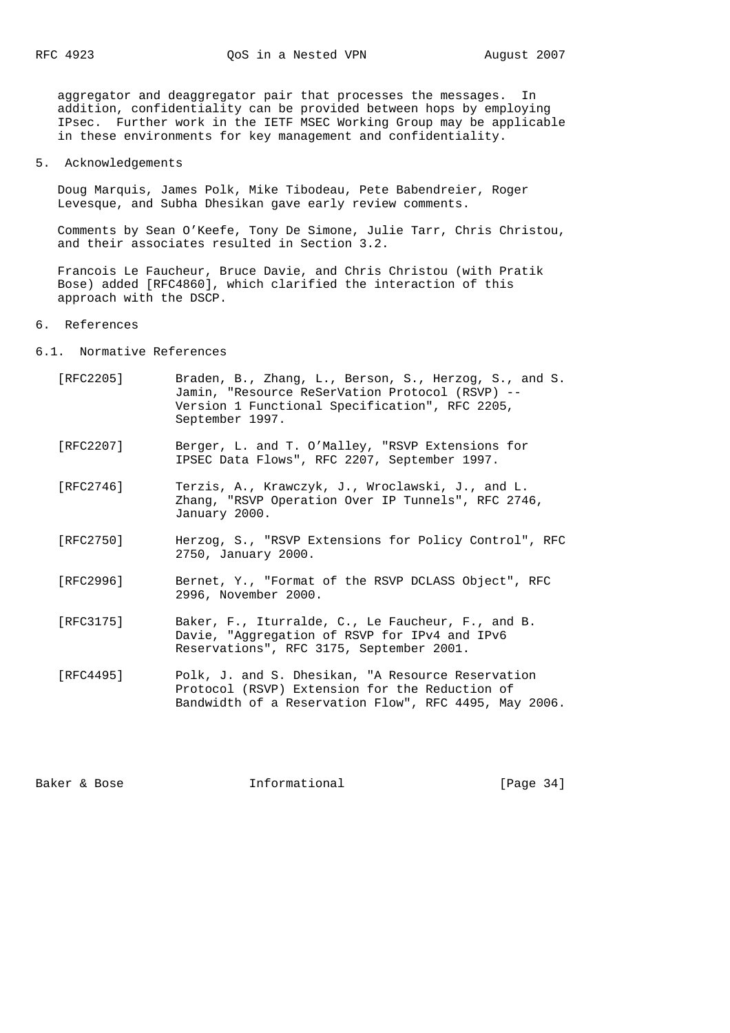aggregator and deaggregator pair that processes the messages. In addition, confidentiality can be provided between hops by employing IPsec. Further work in the IETF MSEC Working Group may be applicable in these environments for key management and confidentiality.

5. Acknowledgements

 Doug Marquis, James Polk, Mike Tibodeau, Pete Babendreier, Roger Levesque, and Subha Dhesikan gave early review comments.

 Comments by Sean O'Keefe, Tony De Simone, Julie Tarr, Chris Christou, and their associates resulted in Section 3.2.

 Francois Le Faucheur, Bruce Davie, and Chris Christou (with Pratik Bose) added [RFC4860], which clarified the interaction of this approach with the DSCP.

6. References

6.1. Normative References

- [RFC2205] Braden, B., Zhang, L., Berson, S., Herzog, S., and S. Jamin, "Resource ReSerVation Protocol (RSVP) -- Version 1 Functional Specification", RFC 2205, September 1997.
- [RFC2207] Berger, L. and T. O'Malley, "RSVP Extensions for IPSEC Data Flows", RFC 2207, September 1997.
- [RFC2746] Terzis, A., Krawczyk, J., Wroclawski, J., and L. Zhang, "RSVP Operation Over IP Tunnels", RFC 2746, January 2000.
- [RFC2750] Herzog, S., "RSVP Extensions for Policy Control", RFC 2750, January 2000.
- [RFC2996] Bernet, Y., "Format of the RSVP DCLASS Object", RFC 2996, November 2000.
- [RFC3175] Baker, F., Iturralde, C., Le Faucheur, F., and B. Davie, "Aggregation of RSVP for IPv4 and IPv6 Reservations", RFC 3175, September 2001.
- [RFC4495] Polk, J. and S. Dhesikan, "A Resource Reservation Protocol (RSVP) Extension for the Reduction of Bandwidth of a Reservation Flow", RFC 4495, May 2006.

Baker & Bose Theorem Informational Theorem (Page 34)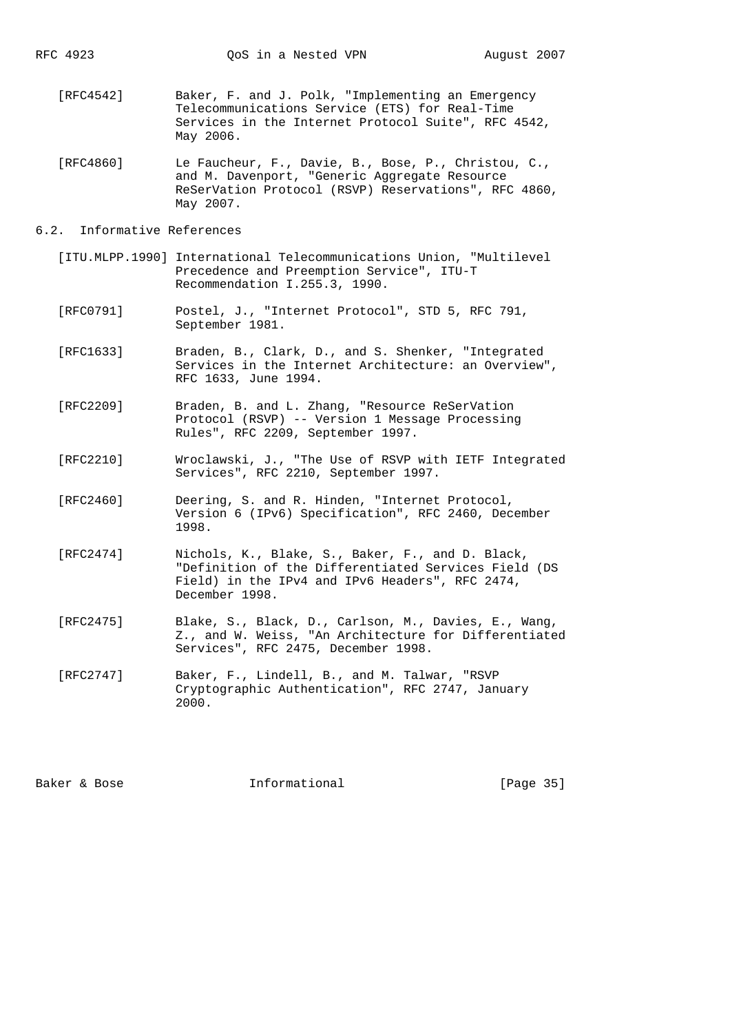- [RFC4542] Baker, F. and J. Polk, "Implementing an Emergency Telecommunications Service (ETS) for Real-Time Services in the Internet Protocol Suite", RFC 4542, May 2006.
- [RFC4860] Le Faucheur, F., Davie, B., Bose, P., Christou, C., and M. Davenport, "Generic Aggregate Resource ReSerVation Protocol (RSVP) Reservations", RFC 4860, May 2007.

## 6.2. Informative References

- [ITU.MLPP.1990] International Telecommunications Union, "Multilevel Precedence and Preemption Service", ITU-T Recommendation I.255.3, 1990.
- [RFC0791] Postel, J., "Internet Protocol", STD 5, RFC 791, September 1981.
- [RFC1633] Braden, B., Clark, D., and S. Shenker, "Integrated Services in the Internet Architecture: an Overview", RFC 1633, June 1994.
- [RFC2209] Braden, B. and L. Zhang, "Resource ReSerVation Protocol (RSVP) -- Version 1 Message Processing Rules", RFC 2209, September 1997.
- [RFC2210] Wroclawski, J., "The Use of RSVP with IETF Integrated Services", RFC 2210, September 1997.
- [RFC2460] Deering, S. and R. Hinden, "Internet Protocol, Version 6 (IPv6) Specification", RFC 2460, December 1998.
- [RFC2474] Nichols, K., Blake, S., Baker, F., and D. Black, "Definition of the Differentiated Services Field (DS Field) in the IPv4 and IPv6 Headers", RFC 2474, December 1998.
- [RFC2475] Blake, S., Black, D., Carlson, M., Davies, E., Wang, Z., and W. Weiss, "An Architecture for Differentiated Services", RFC 2475, December 1998.
- [RFC2747] Baker, F., Lindell, B., and M. Talwar, "RSVP Cryptographic Authentication", RFC 2747, January 2000.

Baker & Bose The Informational The Informational [Page 35]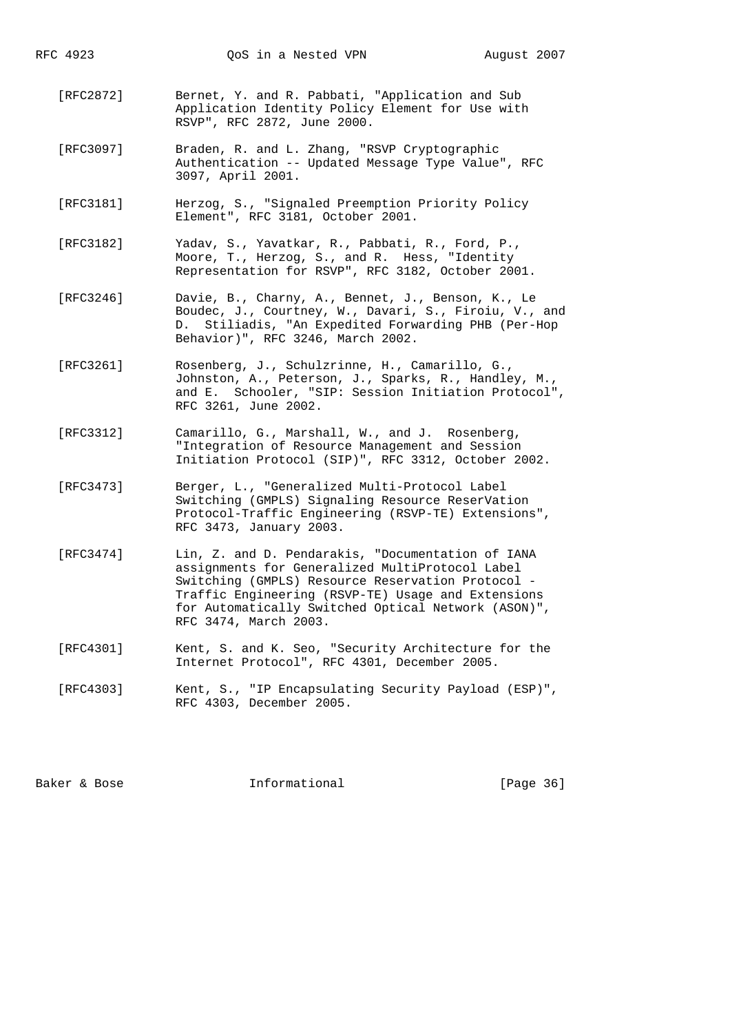- [RFC2872] Bernet, Y. and R. Pabbati, "Application and Sub Application Identity Policy Element for Use with RSVP", RFC 2872, June 2000.
	- [RFC3097] Braden, R. and L. Zhang, "RSVP Cryptographic Authentication -- Updated Message Type Value", RFC 3097, April 2001.
	- [RFC3181] Herzog, S., "Signaled Preemption Priority Policy Element", RFC 3181, October 2001.
	- [RFC3182] Yadav, S., Yavatkar, R., Pabbati, R., Ford, P., Moore, T., Herzog, S., and R. Hess, "Identity Representation for RSVP", RFC 3182, October 2001.
	- [RFC3246] Davie, B., Charny, A., Bennet, J., Benson, K., Le Boudec, J., Courtney, W., Davari, S., Firoiu, V., and D. Stiliadis, "An Expedited Forwarding PHB (Per-Hop Behavior)", RFC 3246, March 2002.
	- [RFC3261] Rosenberg, J., Schulzrinne, H., Camarillo, G., Johnston, A., Peterson, J., Sparks, R., Handley, M., and E. Schooler, "SIP: Session Initiation Protocol", RFC 3261, June 2002.
	- [RFC3312] Camarillo, G., Marshall, W., and J. Rosenberg, "Integration of Resource Management and Session Initiation Protocol (SIP)", RFC 3312, October 2002.
	- [RFC3473] Berger, L., "Generalized Multi-Protocol Label Switching (GMPLS) Signaling Resource ReserVation Protocol-Traffic Engineering (RSVP-TE) Extensions", RFC 3473, January 2003.
	- [RFC3474] Lin, Z. and D. Pendarakis, "Documentation of IANA assignments for Generalized MultiProtocol Label Switching (GMPLS) Resource Reservation Protocol - Traffic Engineering (RSVP-TE) Usage and Extensions for Automatically Switched Optical Network (ASON)", RFC 3474, March 2003.
	- [RFC4301] Kent, S. and K. Seo, "Security Architecture for the Internet Protocol", RFC 4301, December 2005.
- [RFC4303] Kent, S., "IP Encapsulating Security Payload (ESP)", RFC 4303, December 2005.

Baker & Bose Theorem Informational Theorem (Page 36)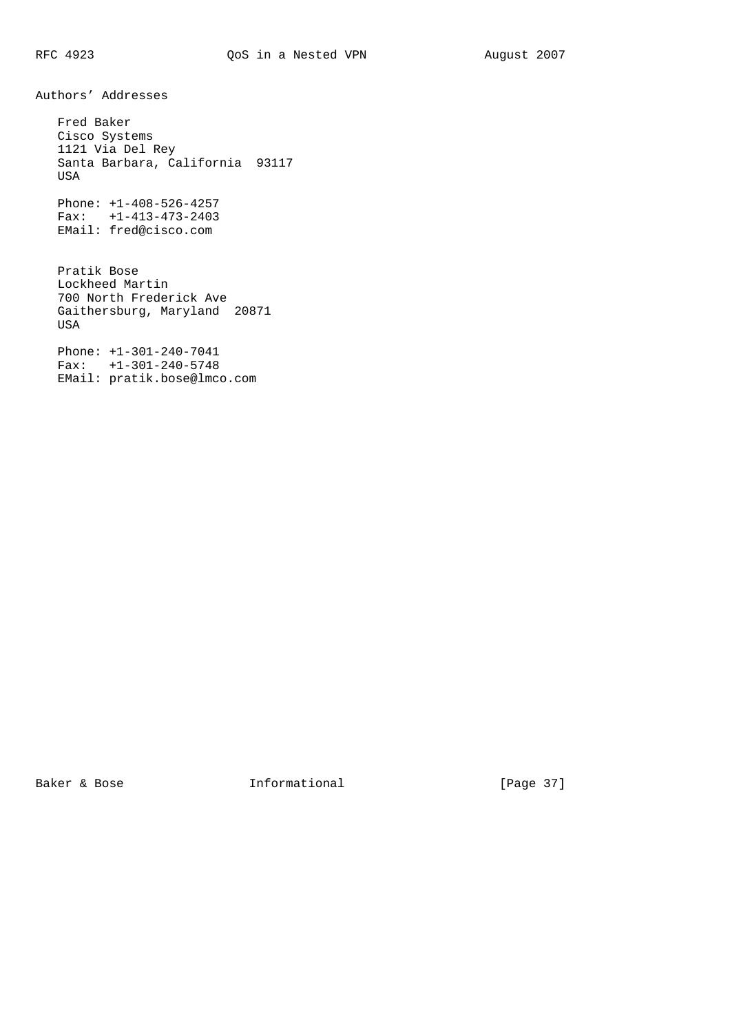Authors' Addresses

 Fred Baker Cisco Systems 1121 Via Del Rey Santa Barbara, California 93117 USA Phone: +1-408-526-4257 Fax: +1-413-473-2403 EMail: fred@cisco.com

 Pratik Bose Lockheed Martin 700 North Frederick Ave Gaithersburg, Maryland 20871 USA

 Phone: +1-301-240-7041 Fax: +1-301-240-5748 EMail: pratik.bose@lmco.com

Baker & Bose **Informational** [Page 37]